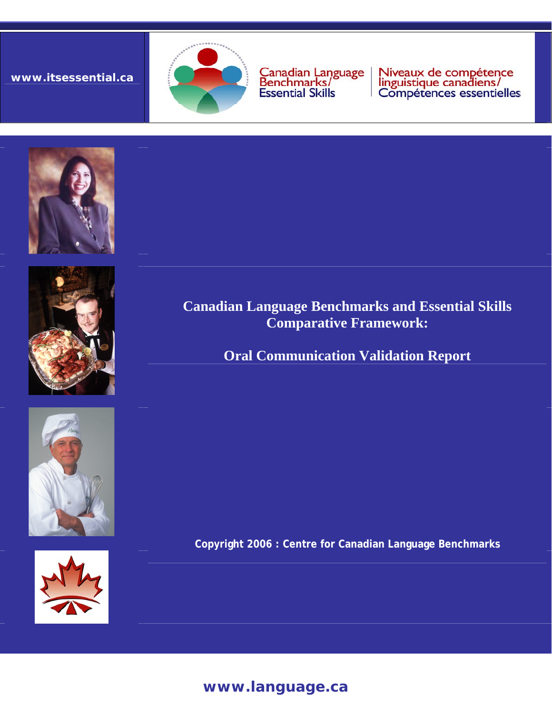#### **www.itsessential.ca**



Canadian Language<br>Benchmarks/<br>Essential Skills

Niveaux de compétence<br>linguistique canadiens/<br>Compétences essentielles





**Canadian Language Benchmarks and Essential Skills Comparative Framework:** 

**Oral Communication Validation Report**





**Copyright 2006 : Centre for Canadian Language Benchmarks** 

## **www.language.ca**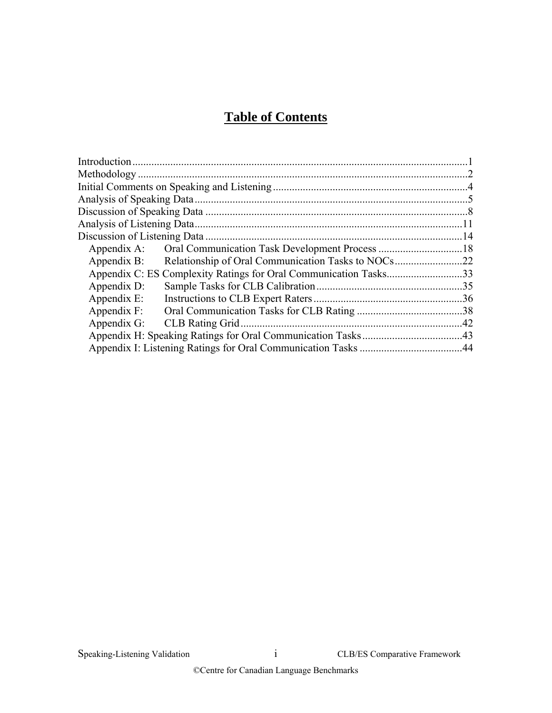# **Table of Contents**

| Appendix B: |     |
|-------------|-----|
|             | .33 |
| Appendix D: | .35 |
| Appendix E: |     |
| Appendix F: |     |
| Appendix G: | .42 |
|             |     |
|             | .44 |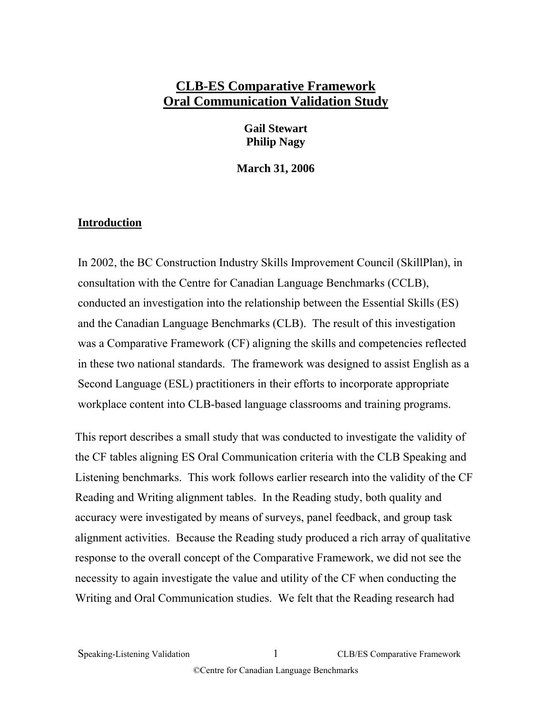## <span id="page-2-0"></span>**CLB-ES Comparative Framework Oral Communication Validation Study**

### **Gail Stewart Philip Nagy**

**March 31, 2006** 

### **Introduction**

In 2002, the BC Construction Industry Skills Improvement Council (SkillPlan), in consultation with the Centre for Canadian Language Benchmarks (CCLB), conducted an investigation into the relationship between the Essential Skills (ES) and the Canadian Language Benchmarks (CLB). The result of this investigation was a Comparative Framework (CF) aligning the skills and competencies reflected in these two national standards. The framework was designed to assist English as a Second Language (ESL) practitioners in their efforts to incorporate appropriate workplace content into CLB-based language classrooms and training programs.

This report describes a small study that was conducted to investigate the validity of the CF tables aligning ES Oral Communication criteria with the CLB Speaking and Listening benchmarks. This work follows earlier research into the validity of the CF Reading and Writing alignment tables. In the Reading study, both quality and accuracy were investigated by means of surveys, panel feedback, and group task alignment activities. Because the Reading study produced a rich array of qualitative response to the overall concept of the Comparative Framework, we did not see the necessity to again investigate the value and utility of the CF when conducting the Writing and Oral Communication studies. We felt that the Reading research had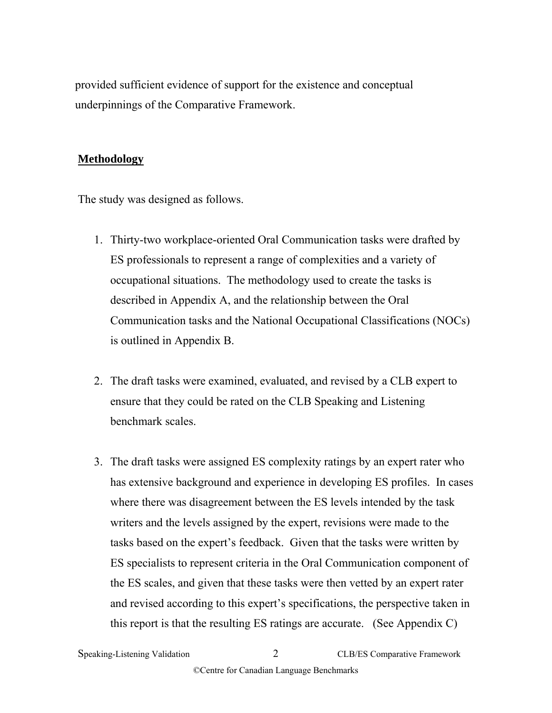<span id="page-3-0"></span>provided sufficient evidence of support for the existence and conceptual underpinnings of the Comparative Framework.

#### **Methodology**

The study was designed as follows.

- 1. Thirty-two workplace-oriented Oral Communication tasks were drafted by ES professionals to represent a range of complexities and a variety of occupational situations. The methodology used to create the tasks is described in Appendix A, and the relationship between the Oral Communication tasks and the National Occupational Classifications (NOCs) is outlined in Appendix B.
- 2. The draft tasks were examined, evaluated, and revised by a CLB expert to ensure that they could be rated on the CLB Speaking and Listening benchmark scales.
- 3. The draft tasks were assigned ES complexity ratings by an expert rater who has extensive background and experience in developing ES profiles. In cases where there was disagreement between the ES levels intended by the task writers and the levels assigned by the expert, revisions were made to the tasks based on the expert's feedback. Given that the tasks were written by ES specialists to represent criteria in the Oral Communication component of the ES scales, and given that these tasks were then vetted by an expert rater and revised according to this expert's specifications, the perspective taken in this report is that the resulting ES ratings are accurate. (See Appendix C)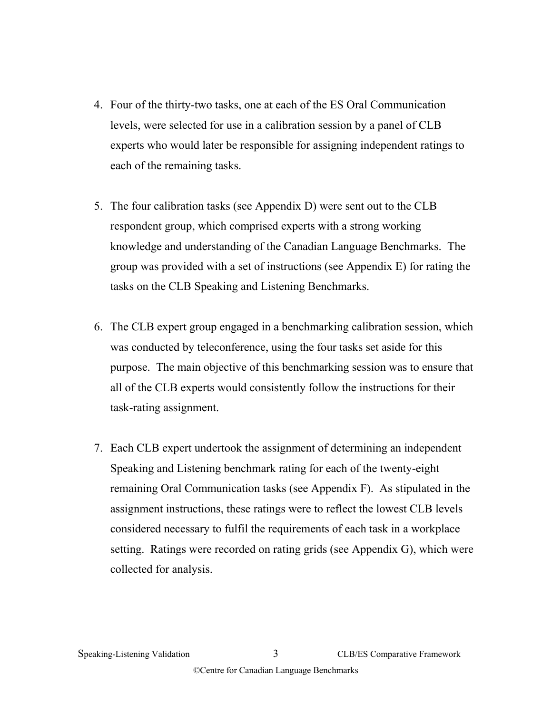- 4. Four of the thirty-two tasks, one at each of the ES Oral Communication levels, were selected for use in a calibration session by a panel of CLB experts who would later be responsible for assigning independent ratings to each of the remaining tasks.
- 5. The four calibration tasks (see Appendix D) were sent out to the CLB respondent group, which comprised experts with a strong working knowledge and understanding of the Canadian Language Benchmarks. The group was provided with a set of instructions (see Appendix E) for rating the tasks on the CLB Speaking and Listening Benchmarks.
- 6. The CLB expert group engaged in a benchmarking calibration session, which was conducted by teleconference, using the four tasks set aside for this purpose. The main objective of this benchmarking session was to ensure that all of the CLB experts would consistently follow the instructions for their task-rating assignment.
- 7. Each CLB expert undertook the assignment of determining an independent Speaking and Listening benchmark rating for each of the twenty-eight remaining Oral Communication tasks (see Appendix F). As stipulated in the assignment instructions, these ratings were to reflect the lowest CLB levels considered necessary to fulfil the requirements of each task in a workplace setting. Ratings were recorded on rating grids (see Appendix G), which were collected for analysis.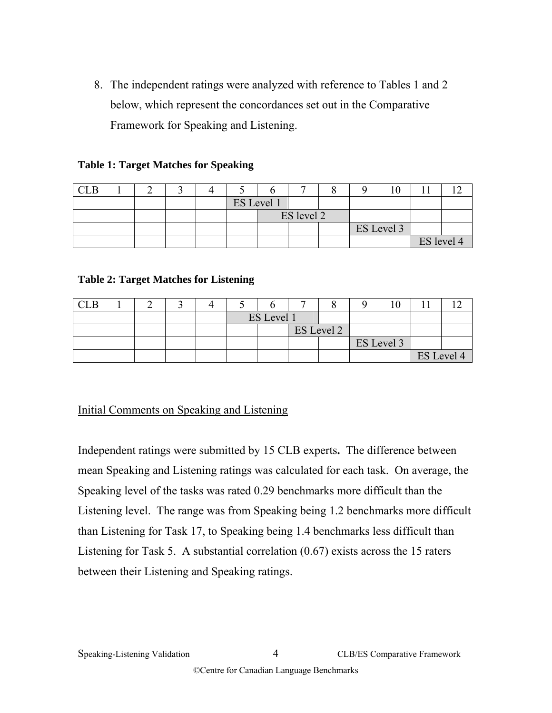<span id="page-5-0"></span>8. The independent ratings were analyzed with reference to Tables 1 and 2 below, which represent the concordances set out in the Comparative Framework for Speaking and Listening.

|  |  | ES Level 1 |            |  |  |            |            |  |
|--|--|------------|------------|--|--|------------|------------|--|
|  |  |            | ES level 2 |  |  |            |            |  |
|  |  |            |            |  |  | ES Level 3 |            |  |
|  |  |            |            |  |  |            | ES level 4 |  |

#### **Table 1: Target Matches for Speaking**

#### **Table 2: Target Matches for Listening**

| <b>CLB</b> |  |  |            |            |  |            |            |  |
|------------|--|--|------------|------------|--|------------|------------|--|
|            |  |  | ES Level 1 |            |  |            |            |  |
|            |  |  |            | ES Level 2 |  |            |            |  |
|            |  |  |            |            |  | ES Level 3 |            |  |
|            |  |  |            |            |  |            | ES Level 4 |  |

### Initial Comments on Speaking and Listening

Independent ratings were submitted by 15 CLB experts**.** The difference between mean Speaking and Listening ratings was calculated for each task. On average, the Speaking level of the tasks was rated 0.29 benchmarks more difficult than the Listening level. The range was from Speaking being 1.2 benchmarks more difficult than Listening for Task 17, to Speaking being 1.4 benchmarks less difficult than Listening for Task 5. A substantial correlation (0.67) exists across the 15 raters between their Listening and Speaking ratings.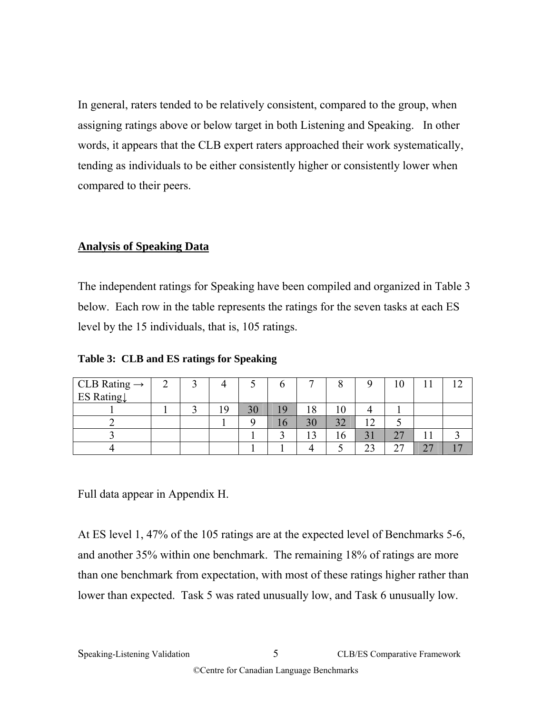<span id="page-6-0"></span>In general, raters tended to be relatively consistent, compared to the group, when assigning ratings above or below target in both Listening and Speaking. In other words, it appears that the CLB expert raters approached their work systematically, tending as individuals to be either consistently higher or consistently lower when compared to their peers.

### **Analysis of Speaking Data**

The independent ratings for Speaking have been compiled and organized in Table 3 below. Each row in the table represents the ratings for the seven tasks at each ES level by the 15 individuals, that is, 105 ratings.

| CLB Rating $\rightarrow$<br>ES Rating | $\sim$ |   |    | −      |    |                   | 10           |               |                |
|---------------------------------------|--------|---|----|--------|----|-------------------|--------------|---------------|----------------|
|                                       |        | Q | 30 | 18     | ΙU |                   |              |               |                |
|                                       |        |   |    | 30     | 32 | 1 າ<br>. <i>.</i> |              |               |                |
|                                       |        |   |    | $\sim$ | 16 |                   | $\mathbf{z}$ |               |                |
|                                       |        |   |    |        |    | $\sim$            | $\sim$       | $\mathcal{L}$ | $\overline{ }$ |

**Table 3: CLB and ES ratings for Speaking** 

Full data appear in Appendix H.

At ES level 1, 47% of the 105 ratings are at the expected level of Benchmarks 5-6, and another 35% within one benchmark. The remaining 18% of ratings are more than one benchmark from expectation, with most of these ratings higher rather than lower than expected. Task 5 was rated unusually low, and Task 6 unusually low.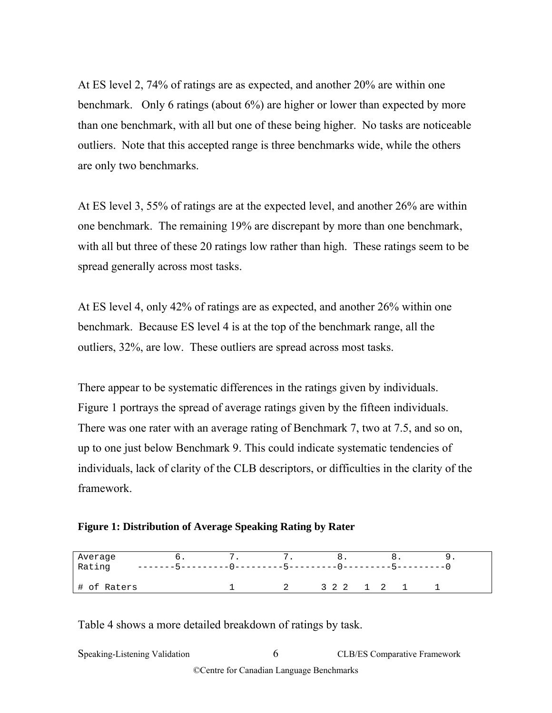At ES level 2, 74% of ratings are as expected, and another 20% are within one benchmark. Only 6 ratings (about 6%) are higher or lower than expected by more than one benchmark, with all but one of these being higher. No tasks are noticeable outliers. Note that this accepted range is three benchmarks wide, while the others are only two benchmarks.

At ES level 3, 55% of ratings are at the expected level, and another 26% are within one benchmark. The remaining 19% are discrepant by more than one benchmark, with all but three of these 20 ratings low rather than high. These ratings seem to be spread generally across most tasks.

At ES level 4, only 42% of ratings are as expected, and another 26% within one benchmark. Because ES level 4 is at the top of the benchmark range, all the outliers, 32%, are low. These outliers are spread across most tasks.

There appear to be systematic differences in the ratings given by individuals. Figure 1 portrays the spread of average ratings given by the fifteen individuals. There was one rater with an average rating of Benchmark 7, two at 7.5, and so on, up to one just below Benchmark 9. This could indicate systematic tendencies of individuals, lack of clarity of the CLB descriptors, or difficulties in the clarity of the framework.

#### **Figure 1: Distribution of Average Speaking Rating by Rater**

| Average<br>Rating |  | . _ _ _ _ _ _ 5 _ _ _ _ _ _ _ _ _ |             |  |
|-------------------|--|-----------------------------------|-------------|--|
| # of Raters       |  |                                   | 3 2 2 1 2 3 |  |

Table 4 shows a more detailed breakdown of ratings by task.

| Speaking-Listening Validation |                                                 | <b>CLB/ES Comparative Framework</b> |
|-------------------------------|-------------------------------------------------|-------------------------------------|
|                               | <b>CCentre for Canadian Language Benchmarks</b> |                                     |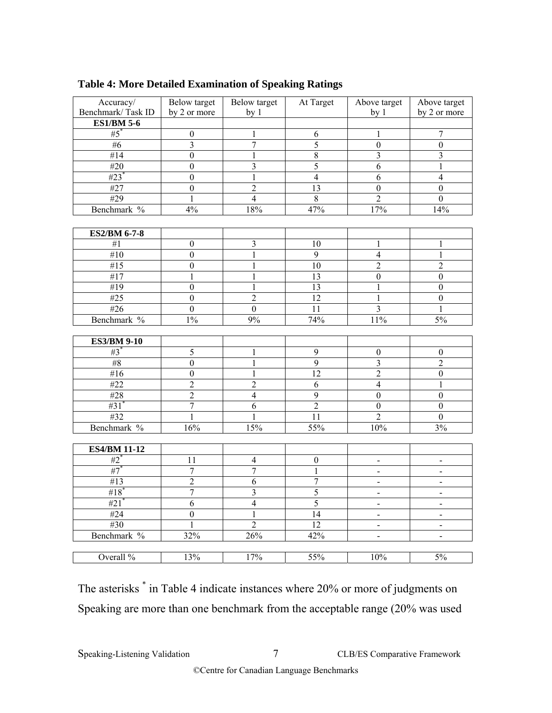| Accuracy/           | <b>Below</b> target | <b>Below</b> target     | At Target        | Above target                 | Above target                 |
|---------------------|---------------------|-------------------------|------------------|------------------------------|------------------------------|
| Benchmark/Task ID   | by 2 or more        | by <sub>1</sub>         |                  | by <sub>1</sub>              | by 2 or more                 |
| <b>ES1/BM 5-6</b>   |                     |                         |                  |                              |                              |
| $#5$ <sup>*</sup>   | $\boldsymbol{0}$    | $\mathbf{1}$            | $\sqrt{6}$       | 1                            | $\boldsymbol{7}$             |
| #6                  | $\overline{3}$      | $\overline{7}$          | $\overline{5}$   | $\boldsymbol{0}$             | $\boldsymbol{0}$             |
| #14                 | $\overline{0}$      | ī                       | $\sqrt{8}$       | $\overline{3}$               | $\overline{3}$               |
| #20                 | $\boldsymbol{0}$    | $\overline{3}$          | $\overline{5}$   | $\overline{6}$               | $\mathbf{1}$                 |
| $#23$ <sup>*</sup>  | $\boldsymbol{0}$    | $\mathbf{1}$            | $\overline{4}$   | 6                            | $\overline{4}$               |
| #27                 | $\boldsymbol{0}$    | $\overline{2}$          | $\overline{13}$  | $\overline{0}$               | $\overline{0}$               |
| #29                 | $\mathbf{1}$        | $\overline{4}$          | $\overline{8}$   | $\overline{2}$               | $\overline{0}$               |
| Benchmark %         | 4%                  | 18%                     | 47%              | 17%                          | 14%                          |
|                     |                     |                         |                  |                              |                              |
| ES2/BM 6-7-8        |                     |                         |                  |                              |                              |
| $\#1$               | $\boldsymbol{0}$    | 3                       | $10\,$           | $\,1$                        | 1                            |
| #10                 | $\overline{0}$      | $\mathbf{1}$            | $\overline{9}$   | $\overline{4}$               | $\mathbf{1}$                 |
| #15                 | $\boldsymbol{0}$    | 1                       | $\overline{10}$  | $\overline{2}$               | $\overline{2}$               |
| #17                 | $\mathbf{1}$        | 1                       | 13               | $\boldsymbol{0}$             | $\boldsymbol{0}$             |
| #19                 | $\overline{0}$      | $\overline{1}$          | 13               | $\overline{1}$               | $\overline{0}$               |
| #25                 | $\overline{0}$      | $\overline{2}$          | 12               | $\,1$                        | $\overline{0}$               |
| #26                 | $\overline{0}$      | $\overline{0}$          | $\overline{11}$  | $\overline{3}$               | $\mathbf{1}$                 |
| Benchmark %         | $1\%$               | $9\%$                   | 74%              | 11%                          | $5\%$                        |
|                     |                     |                         |                  |                              |                              |
| <b>ES3/BM 9-10</b>  |                     |                         |                  |                              |                              |
| $#3^*$              | 5                   | 1                       | 9                | $\boldsymbol{0}$             | $\boldsymbol{0}$             |
| #8                  | $\overline{0}$      | $\overline{1}$          | $\overline{9}$   | $\overline{3}$               | $\overline{2}$               |
| # $16$              | $\overline{0}$      | 1                       | 12               | $\overline{2}$               | $\overline{0}$               |
| #22                 | $\overline{c}$      | $\overline{2}$          | 6                | $\overline{4}$               | $\mathbf{1}$                 |
| #28                 | $\overline{2}$      | $\overline{4}$          | $\overline{9}$   | $\overline{0}$               | $\boldsymbol{0}$             |
| $#31$ <sup>*</sup>  | $\overline{7}$      | $\overline{6}$          | $\overline{2}$   | $\overline{0}$               | $\overline{0}$               |
| #32                 | $\overline{1}$      | $\mathbf{1}$            | $\overline{11}$  | $\overline{2}$               | $\overline{0}$               |
| Benchmark %         | 16%                 | 15%                     | 55%              | 10%                          | 3%                           |
|                     |                     |                         |                  |                              |                              |
| <b>ES4/BM 11-12</b> |                     |                         |                  |                              |                              |
| $#2$ <sup>*</sup>   | $\overline{11}$     | $\overline{4}$          | $\boldsymbol{0}$ | $\ddot{\phantom{a}}$         | $\overline{a}$               |
| #7                  | $\overline{7}$      | 7                       | $\mathbf{1}$     | $\overline{\phantom{a}}$     | $\qquad \qquad \blacksquare$ |
| #13                 | $\overline{2}$      | $\overline{6}$          | $\overline{7}$   | $\blacksquare$               | $\overline{\phantom{a}}$     |
| $#18^*$             | $\overline{7}$      | $\overline{\mathbf{3}}$ | 5                | $\qquad \qquad \blacksquare$ | $\overline{\phantom{a}}$     |
| #21                 | $\overline{6}$      | $\overline{4}$          | $\overline{5}$   | $\blacksquare$               | $\blacksquare$               |
| #24                 | $\overline{0}$      | $\mathbf{1}$            | 14               | $\blacksquare$               | $\qquad \qquad \blacksquare$ |
| #30                 | $\mathbf{1}$        | $\overline{2}$          | $\overline{12}$  | $\blacksquare$               | $\blacksquare$               |
| Benchmark %         | 32%                 | 26%                     | 42%              | $\overline{a}$               | $\overline{a}$               |
|                     |                     |                         |                  |                              |                              |
| Overall %           | 13%                 | 17%                     | 55%              | 10%                          | 5%                           |

#### **Table 4: More Detailed Examination of Speaking Ratings**

The asterisks \* in Table 4 indicate instances where 20% or more of judgments on Speaking are more than one benchmark from the acceptable range (20% was used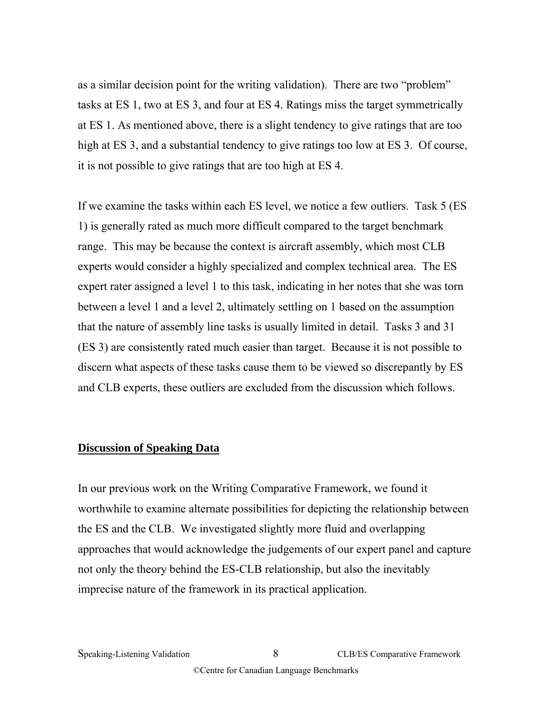<span id="page-9-0"></span>as a similar decision point for the writing validation). There are two "problem" tasks at ES 1, two at ES 3, and four at ES 4. Ratings miss the target symmetrically at ES 1. As mentioned above, there is a slight tendency to give ratings that are too high at ES 3, and a substantial tendency to give ratings too low at ES 3. Of course, it is not possible to give ratings that are too high at ES 4.

If we examine the tasks within each ES level, we notice a few outliers. Task 5 (ES 1) is generally rated as much more difficult compared to the target benchmark range. This may be because the context is aircraft assembly, which most CLB experts would consider a highly specialized and complex technical area. The ES expert rater assigned a level 1 to this task, indicating in her notes that she was torn between a level 1 and a level 2, ultimately settling on 1 based on the assumption that the nature of assembly line tasks is usually limited in detail. Tasks 3 and 31 (ES 3) are consistently rated much easier than target. Because it is not possible to discern what aspects of these tasks cause them to be viewed so discrepantly by ES and CLB experts, these outliers are excluded from the discussion which follows.

#### **Discussion of Speaking Data**

In our previous work on the Writing Comparative Framework, we found it worthwhile to examine alternate possibilities for depicting the relationship between the ES and the CLB. We investigated slightly more fluid and overlapping approaches that would acknowledge the judgements of our expert panel and capture not only the theory behind the ES-CLB relationship, but also the inevitably imprecise nature of the framework in its practical application.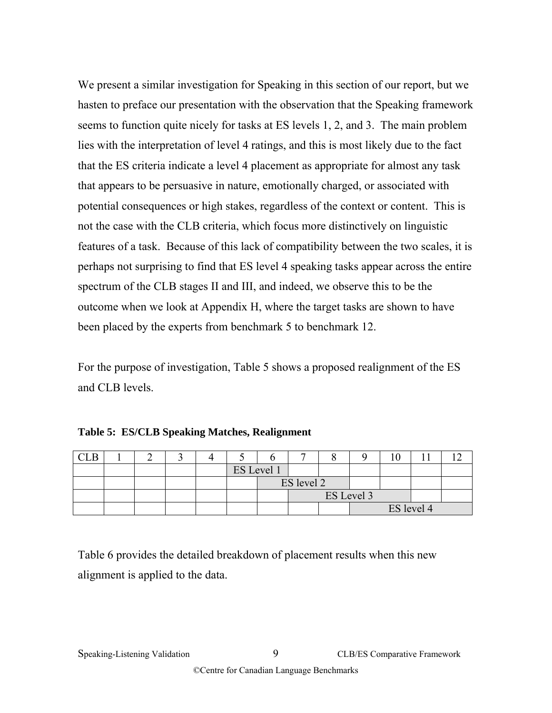We present a similar investigation for Speaking in this section of our report, but we hasten to preface our presentation with the observation that the Speaking framework seems to function quite nicely for tasks at ES levels 1, 2, and 3. The main problem lies with the interpretation of level 4 ratings, and this is most likely due to the fact that the ES criteria indicate a level 4 placement as appropriate for almost any task that appears to be persuasive in nature, emotionally charged, or associated with potential consequences or high stakes, regardless of the context or content. This is not the case with the CLB criteria, which focus more distinctively on linguistic features of a task. Because of this lack of compatibility between the two scales, it is perhaps not surprising to find that ES level 4 speaking tasks appear across the entire spectrum of the CLB stages II and III, and indeed, we observe this to be the outcome when we look at Appendix H, where the target tasks are shown to have been placed by the experts from benchmark 5 to benchmark 12.

For the purpose of investigation, Table 5 shows a proposed realignment of the ES and CLB levels.

|  |  | ES Level 1 |            |            |  |  |
|--|--|------------|------------|------------|--|--|
|  |  |            | ES level 2 |            |  |  |
|  |  |            |            | ES Level 3 |  |  |
|  |  |            | ES level 4 |            |  |  |

Table 6 provides the detailed breakdown of placement results when this new alignment is applied to the data.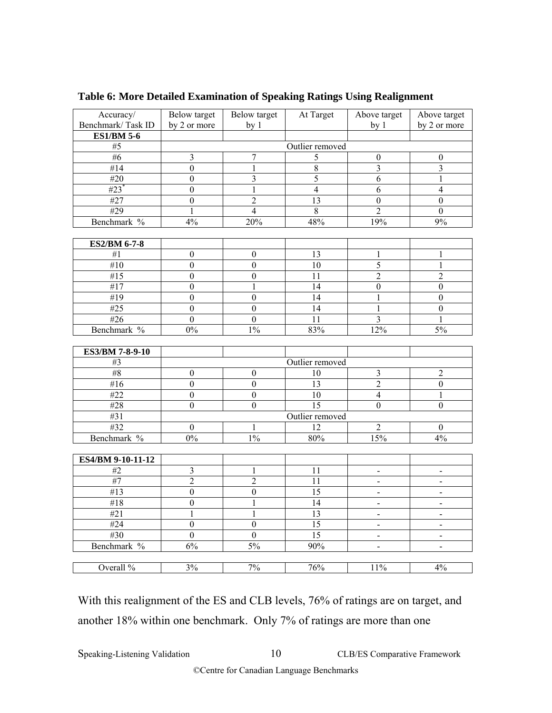| Accuracy/         | <b>Below</b> target | <b>Below</b> target | At Target       | Above target                 | Above target            |
|-------------------|---------------------|---------------------|-----------------|------------------------------|-------------------------|
| Benchmark/Task ID | by 2 or more        | by <sub>1</sub>     |                 | by <sub>1</sub>              | by 2 or more            |
| <b>ES1/BM 5-6</b> |                     |                     |                 |                              |                         |
| $\#5$             |                     |                     | Outlier removed |                              |                         |
| #6                | 3                   | 7                   | 5               | $\boldsymbol{0}$             | $\boldsymbol{0}$        |
| #14               | $\overline{0}$      | $\mathbf 1$         | $\overline{8}$  | $\overline{3}$               | $\overline{\mathbf{3}}$ |
| #20               | $\boldsymbol{0}$    | 3                   | 5               | 6                            | $\mathbf{1}$            |
| #23               | $\overline{0}$      | $\overline{1}$      | $\overline{4}$  | $\overline{6}$               | $\overline{4}$          |
| #27               | $\boldsymbol{0}$    | $\overline{2}$      | $\overline{13}$ | $\boldsymbol{0}$             | $\overline{0}$          |
| #29               | $\mathbf{1}$        | $\overline{4}$      | $\overline{8}$  | $\overline{2}$               | $\overline{0}$          |
| Benchmark %       | 4%                  | 20%                 | 48%             | 19%                          | 9%                      |
|                   |                     |                     |                 |                              |                         |
| ES2/BM 6-7-8      |                     |                     |                 |                              |                         |
| #1                | $\boldsymbol{0}$    | $\boldsymbol{0}$    | 13              | 1                            | 1                       |
| #10               | $\boldsymbol{0}$    | $\overline{0}$      | $\overline{10}$ | 5                            | $\,1$                   |
| #15               | $\boldsymbol{0}$    | $\overline{0}$      | $\overline{11}$ | $\overline{2}$               | $\overline{2}$          |
| #17               | $\boldsymbol{0}$    | $\mathbf{1}$        | $\overline{14}$ | $\boldsymbol{0}$             | $\overline{0}$          |
| #19               | $\boldsymbol{0}$    | $\overline{0}$      | 14              | 1                            | $\overline{0}$          |
| #25               | $\boldsymbol{0}$    | $\boldsymbol{0}$    | 14              | $\mathbf{1}$                 | $\boldsymbol{0}$        |
| #26               | $\overline{0}$      | $\overline{0}$      | $\overline{11}$ | $\overline{\mathbf{3}}$      | $\mathbf{1}$            |
| Benchmark %       | 0%                  | $1\%$               | 83%             | 12%                          | 5%                      |
|                   |                     |                     |                 |                              |                         |
| ES3/BM 7-8-9-10   |                     |                     |                 |                              |                         |
| #3                |                     |                     | Outlier removed |                              |                         |
| $\#8$             | $\boldsymbol{0}$    | $\boldsymbol{0}$    | 10              | $\overline{\mathbf{3}}$      | $\overline{2}$          |
| # $16$            | $\boldsymbol{0}$    | $\boldsymbol{0}$    | 13              | $\overline{2}$               | $\boldsymbol{0}$        |
| #22               | $\overline{0}$      | $\overline{0}$      | 10              | $\overline{4}$               | $\mathbf{1}$            |
| #28               | $\overline{0}$      | $\overline{0}$      | $\overline{15}$ | $\overline{0}$               | $\overline{0}$          |
| #31               |                     |                     | Outlier removed |                              |                         |
| #32               | $\boldsymbol{0}$    | 1                   | $\overline{12}$ | $\overline{c}$               | $\boldsymbol{0}$        |
| Benchmark %       | 0%                  | $1\%$               | 80%             | 15%                          | 4%                      |
|                   |                     |                     |                 |                              |                         |
| ES4/BM 9-10-11-12 |                     |                     |                 |                              |                         |
| #2                | 3                   | $\mathbf{1}$        | 11              | $\overline{\phantom{a}}$     | $\blacksquare$          |
| #7                | $\overline{2}$      | $\overline{2}$      | $\overline{11}$ |                              |                         |
| #13               | $\boldsymbol{0}$    | $\boldsymbol{0}$    | $\overline{15}$ | $\blacksquare$               | $\blacksquare$          |
| $\#18$            | $\boldsymbol{0}$    | 1                   | 14              | $\qquad \qquad \blacksquare$ | $\blacksquare$          |
| #21               | $\mathbf{1}$        | $\mathbf{1}$        | 13              | $\frac{1}{2}$                | $\blacksquare$          |
| #24               | $\overline{0}$      | $\overline{0}$      | 15              | $\overline{a}$               | $\qquad \qquad -$       |
| #30               | $\overline{0}$      | $\overline{0}$      | $\overline{15}$ | $\overline{\phantom{a}}$     | $\blacksquare$          |
| Benchmark %       | 6%                  | $5\%$               | 90%             | $\overline{\phantom{0}}$     | $\blacksquare$          |
|                   |                     |                     |                 |                              |                         |
| Overall %         | 3%                  | $7\%$               | 76%             | 11%                          | 4%                      |

**Table 6: More Detailed Examination of Speaking Ratings Using Realignment** 

With this realignment of the ES and CLB levels, 76% of ratings are on target, and another 18% within one benchmark. Only 7% of ratings are more than one

10

Speaking-Listening Validation 10 CLB/ES Comparative Framework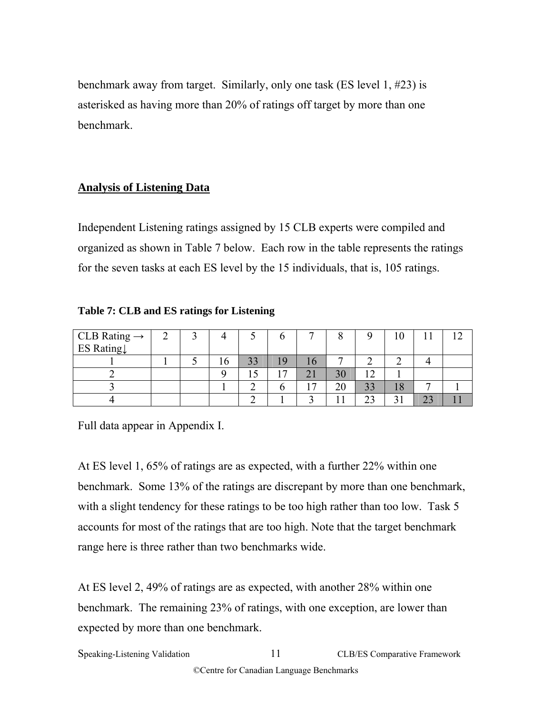<span id="page-12-0"></span>benchmark away from target. Similarly, only one task (ES level 1, #23) is asterisked as having more than 20% of ratings off target by more than one benchmark.

### **Analysis of Listening Data**

Independent Listening ratings assigned by 15 CLB experts were compiled and organized as shown in Table 7 below. Each row in the table represents the ratings for the seven tasks at each ES level by the 15 individuals, that is, 105 ratings.

**Table 7: CLB and ES ratings for Listening** 

| $CLB$ Rating $\rightarrow$ | 2 | ◠<br>$\rightarrow$ |  |              | −              |                             |        |  |
|----------------------------|---|--------------------|--|--------------|----------------|-----------------------------|--------|--|
| <b>ES Rating↓</b>          |   |                    |  |              |                |                             |        |  |
|                            |   |                    |  | <u>    Q</u> |                |                             |        |  |
|                            |   |                    |  | $\mathbf{r}$ |                | $\bigcap$<br>$\overline{1}$ |        |  |
|                            |   |                    |  |              | 1 <sub>7</sub> |                             | 18     |  |
|                            |   |                    |  |              |                | n n                         | $\sim$ |  |

Full data appear in Appendix I.

At ES level 1, 65% of ratings are as expected, with a further 22% within one benchmark. Some 13% of the ratings are discrepant by more than one benchmark, with a slight tendency for these ratings to be too high rather than too low. Task 5 accounts for most of the ratings that are too high. Note that the target benchmark range here is three rather than two benchmarks wide.

At ES level 2, 49% of ratings are as expected, with another 28% within one benchmark. The remaining 23% of ratings, with one exception, are lower than expected by more than one benchmark.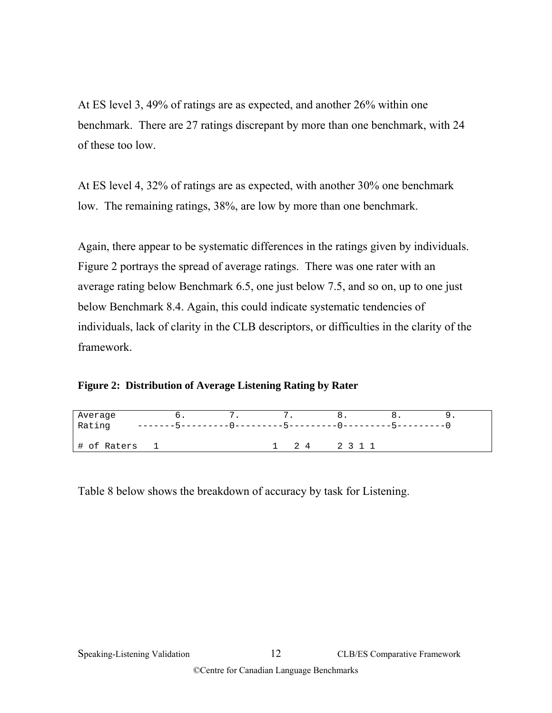At ES level 3, 49% of ratings are as expected, and another 26% within one benchmark. There are 27 ratings discrepant by more than one benchmark, with 24 of these too low.

At ES level 4, 32% of ratings are as expected, with another 30% one benchmark low. The remaining ratings, 38%, are low by more than one benchmark.

Again, there appear to be systematic differences in the ratings given by individuals. Figure 2 portrays the spread of average ratings. There was one rater with an average rating below Benchmark 6.5, one just below 7.5, and so on, up to one just below Benchmark 8.4. Again, this could indicate systematic tendencies of individuals, lack of clarity in the CLB descriptors, or difficulties in the clarity of the framework.

**Figure 2: Distribution of Average Listening Rating by Rater** 

| Average<br>Rating |  | -------5----------0--- |      |  |
|-------------------|--|------------------------|------|--|
| # of Raters       |  | $2\quad 4$             | 2311 |  |

Table 8 below shows the breakdown of accuracy by task for Listening.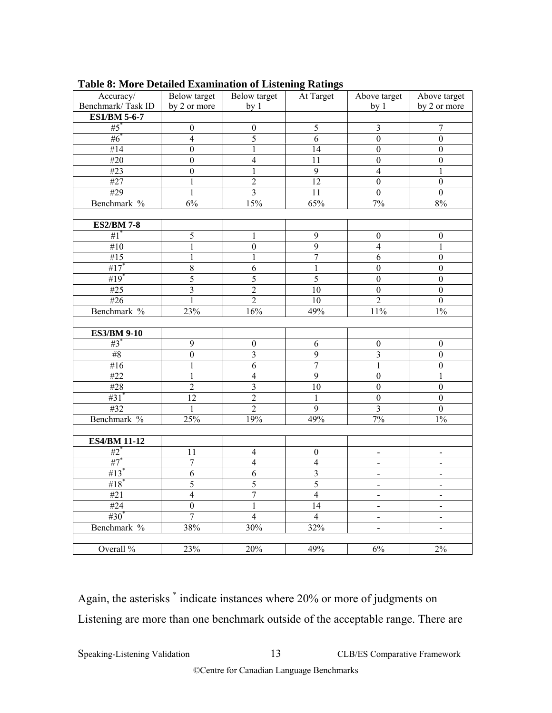| талк от моге решие райншайон от пъщница кайндз |                         |                         |                         |                              |                          |
|------------------------------------------------|-------------------------|-------------------------|-------------------------|------------------------------|--------------------------|
| Accuracy/                                      | Below target            | Below target            | At Target               | Above target                 | Above target             |
| Benchmark/Task ID                              | by 2 or more            | by <sub>1</sub>         |                         | by <sub>1</sub>              | by 2 or more             |
| <b>ES1/BM 5-6-7</b>                            |                         |                         |                         |                              |                          |
| #5                                             | $\overline{0}$          | $\overline{0}$          | $\overline{5}$          | $\overline{3}$               | $\overline{7}$           |
| $#6$ <sup>*</sup>                              | $\overline{4}$          | 5                       | $\overline{6}$          | $\boldsymbol{0}$             | $\overline{0}$           |
| #14                                            | $\boldsymbol{0}$        | $\mathbf{1}$            | 14                      | $\boldsymbol{0}$             | $\boldsymbol{0}$         |
| #20                                            | $\overline{0}$          | $\overline{4}$          | $\overline{11}$         | $\overline{0}$               | $\overline{0}$           |
| #23                                            | $\boldsymbol{0}$        | $\mathbf{1}$            | $\overline{9}$          | $\overline{4}$               | 1                        |
| #27                                            | 1                       | $\overline{c}$          | $\overline{12}$         | $\boldsymbol{0}$             | $\boldsymbol{0}$         |
| #29                                            | $\mathbf{1}$            | $\overline{\mathbf{3}}$ | $\overline{11}$         | $\overline{0}$               | $\boldsymbol{0}$         |
| Benchmark %                                    | $6\%$                   | 15%                     | 65%                     | $7\%$                        | 8%                       |
|                                                |                         |                         |                         |                              |                          |
| <b>ES2/BM 7-8</b>                              |                         |                         |                         |                              |                          |
| $#1^*$                                         | 5                       | 1                       | 9                       | $\boldsymbol{0}$             | $\boldsymbol{0}$         |
| #10                                            | $\mathbf{1}$            | $\boldsymbol{0}$        | 9                       | $\overline{4}$               | $\mathbf{1}$             |
| $\overline{415}$                               | $\mathbf{1}$            | $\mathbf{1}$            | $\overline{7}$          | 6                            | $\boldsymbol{0}$         |
| $#17$ <sup>*</sup>                             | 8                       | $\overline{6}$          | $\mathbf{1}$            | $\boldsymbol{0}$             | $\boldsymbol{0}$         |
| #19 $*$                                        | $\overline{5}$          | $\overline{5}$          | 5                       | $\overline{0}$               | $\overline{0}$           |
| #25                                            | $\overline{\mathbf{3}}$ | $\overline{2}$          | 10                      | $\boldsymbol{0}$             | $\mathbf{0}$             |
| #26                                            | $\mathbf{1}$            | $\overline{2}$          | 10                      | $\overline{2}$               | $\boldsymbol{0}$         |
| Benchmark %                                    | 23%                     | 16%                     | 49%                     | 11%                          | $1\%$                    |
|                                                |                         |                         |                         |                              |                          |
| <b>ES3/BM 9-10</b>                             |                         |                         |                         |                              |                          |
| $#3^*$                                         | 9                       | $\boldsymbol{0}$        | 6                       | $\boldsymbol{0}$             | $\boldsymbol{0}$         |
| #8                                             | $\mathbf{0}$            | $\overline{\mathbf{3}}$ | $\overline{9}$          | $\overline{\mathbf{3}}$      | $\mathbf{0}$             |
| # $16$                                         | $\mathbf{1}$            | $\overline{6}$          | $\overline{7}$          | $\mathbf{1}$                 | $\boldsymbol{0}$         |
| #22                                            | 1                       | $\overline{4}$          | $\overline{9}$          | $\boldsymbol{0}$             | 1                        |
| #28                                            | $\overline{2}$          | $\overline{\mathbf{3}}$ | $\overline{10}$         | $\boldsymbol{0}$             | $\boldsymbol{0}$         |
| $#31$ <sup>*</sup>                             | $\overline{12}$         | $\overline{2}$          | $\mathbf{1}$            | $\boldsymbol{0}$             | $\mathbf{0}$             |
| #32                                            | $\mathbf{1}$            | $\overline{2}$          | $\overline{9}$          | $\overline{\mathbf{3}}$      | $\mathbf{0}$             |
| Benchmark %                                    | 25%                     | 19%                     | 49%                     | $7\%$                        | $1\%$                    |
|                                                |                         |                         |                         |                              |                          |
| <b>ES4/BM 11-12</b>                            |                         |                         |                         |                              |                          |
| $#2$ <sup>'</sup>                              | 11                      | $\overline{4}$          | $\boldsymbol{0}$        | $\blacksquare$               | $\blacksquare$           |
| #7                                             | $\overline{7}$          | $\overline{4}$          | $\overline{4}$          | $\blacksquare$               | $\overline{a}$           |
| #13                                            | $\overline{6}$          | $\overline{6}$          | $\overline{\mathbf{3}}$ | $\blacksquare$               | $\blacksquare$           |
| $#18$ <sup>*</sup>                             | 5                       | $\overline{5}$          | $\overline{5}$          | $\blacksquare$               | $\overline{a}$           |
| #21                                            | $\overline{4}$          | 7                       | $\overline{4}$          | $\blacksquare$               | $\overline{\phantom{0}}$ |
| #24                                            | $\boldsymbol{0}$        | $\mathbf{1}$            | 14                      | $\overline{a}$               | $\overline{\phantom{0}}$ |
| #30 $*$                                        | $\overline{7}$          | $\overline{4}$          | $\overline{4}$          | $\qquad \qquad \blacksquare$ | $\overline{\phantom{0}}$ |
| Benchmark %                                    | 38%                     | 30%                     | 32%                     | $\blacksquare$               | $\blacksquare$           |
|                                                |                         |                         |                         |                              |                          |
| Overall %                                      | 23%                     | 20%                     | 49%                     | $6\%$                        | 2%                       |

**Table 8: More Detailed Examination of Listening Ratings** 

Again, the asterisks \* indicate instances where 20% or more of judgments on Listening are more than one benchmark outside of the acceptable range. There are

Speaking-Listening Validation 13 CLB/ES Comparative Framework

©Centre for Canadian Language Benchmarks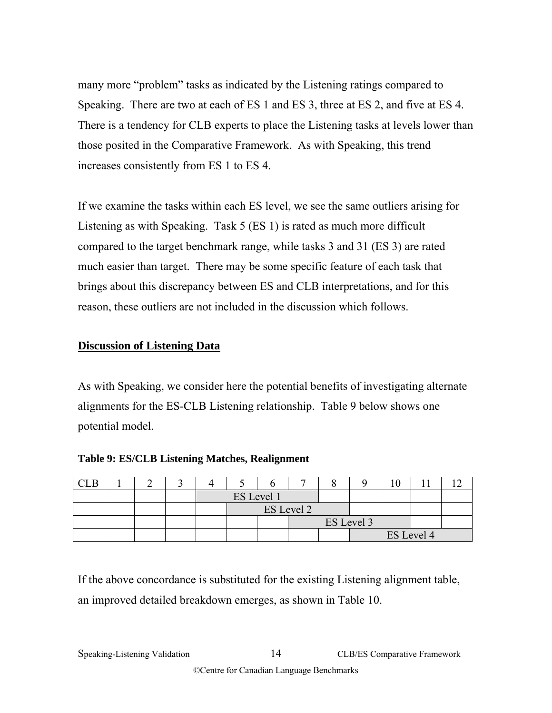<span id="page-15-0"></span>many more "problem" tasks as indicated by the Listening ratings compared to Speaking. There are two at each of ES 1 and ES 3, three at ES 2, and five at ES 4. There is a tendency for CLB experts to place the Listening tasks at levels lower than those posited in the Comparative Framework. As with Speaking, this trend increases consistently from ES 1 to ES 4.

If we examine the tasks within each ES level, we see the same outliers arising for Listening as with Speaking. Task 5 (ES 1) is rated as much more difficult compared to the target benchmark range, while tasks 3 and 31 (ES 3) are rated much easier than target. There may be some specific feature of each task that brings about this discrepancy between ES and CLB interpretations, and for this reason, these outliers are not included in the discussion which follows.

### **Discussion of Listening Data**

As with Speaking, we consider here the potential benefits of investigating alternate alignments for the ES-CLB Listening relationship. Table 9 below shows one potential model.

#### **Table 9: ES/CLB Listening Matches, Realignment**

|  |  | ES Level 1 |            |            |            |  |
|--|--|------------|------------|------------|------------|--|
|  |  |            | ES Level 2 |            |            |  |
|  |  |            |            | ES Level 3 |            |  |
|  |  |            |            |            | ES Level 4 |  |

If the above concordance is substituted for the existing Listening alignment table, an improved detailed breakdown emerges, as shown in Table 10.

Speaking-Listening Validation 14 CLB/ES Comparative Framework

©Centre for Canadian Language Benchmarks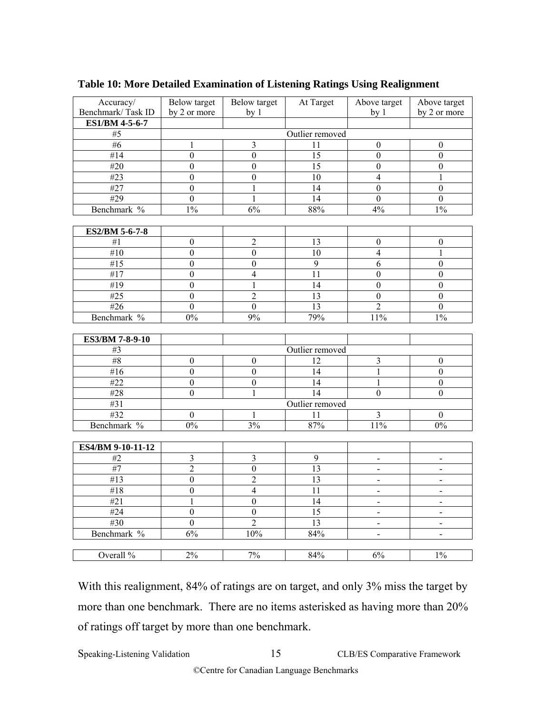| Accuracy/         | Below target     | <b>Below</b> target | At Target        | Above target             | Above target             |
|-------------------|------------------|---------------------|------------------|--------------------------|--------------------------|
| Benchmark/Task ID | by 2 or more     | by <sub>1</sub>     |                  | by <sub>1</sub>          | by 2 or more             |
| ES1/BM 4-5-6-7    |                  |                     |                  |                          |                          |
| #5                |                  |                     | Outlier removed  |                          |                          |
| #6                | $\mathbf{1}$     | 3                   | 11               | $\boldsymbol{0}$         | $\boldsymbol{0}$         |
| #14               | $\mathbf{0}$     | $\overline{0}$      | $\overline{15}$  | $\overline{0}$           | $\overline{0}$           |
| #20               | $\overline{0}$   | $\overline{0}$      | $\overline{15}$  | $\overline{0}$           | $\overline{0}$           |
| #23               | $\boldsymbol{0}$ | $\boldsymbol{0}$    | 10               | $\overline{4}$           | 1                        |
| #27               | $\boldsymbol{0}$ | $\mathbf{1}$        | $\overline{14}$  | $\overline{0}$           | $\boldsymbol{0}$         |
| #29               | $\overline{0}$   | $\mathbf{1}$        | $\overline{14}$  | $\overline{0}$           | $\overline{0}$           |
| Benchmark %       | $1\%$            | 6%                  | 88%              | 4%                       | $1\%$                    |
|                   |                  |                     |                  |                          |                          |
| ES2/BM 5-6-7-8    |                  |                     |                  |                          |                          |
| #1                | $\boldsymbol{0}$ | $\overline{2}$      | $\overline{13}$  | $\boldsymbol{0}$         | $\boldsymbol{0}$         |
| #10               | $\boldsymbol{0}$ | $\boldsymbol{0}$    | 10               | $\overline{\mathcal{A}}$ | $\mathbf{1}$             |
| #15               | $\boldsymbol{0}$ | $\boldsymbol{0}$    | $\boldsymbol{9}$ | $\overline{6}$           | $\boldsymbol{0}$         |
| #17               | $\boldsymbol{0}$ | $\overline{4}$      | $\overline{11}$  | $\mathbf{0}$             | $\boldsymbol{0}$         |
| #19               | $\overline{0}$   | $\mathbf{1}$        | 14               | $\overline{0}$           | $\overline{0}$           |
| #25               | $\overline{0}$   | $\overline{2}$      | $\overline{13}$  | $\overline{0}$           | $\boldsymbol{0}$         |
| #26               | $\boldsymbol{0}$ | $\overline{0}$      | $\overline{13}$  | $\overline{2}$           | $\boldsymbol{0}$         |
| Benchmark %       | 0%               | 9%                  | 79%              | 11%                      | $1\%$                    |
|                   |                  |                     |                  |                          |                          |
| ES3/BM 7-8-9-10   |                  |                     |                  |                          |                          |
| #3                |                  |                     | Outlier removed  |                          |                          |
| #8                | $\boldsymbol{0}$ | $\boldsymbol{0}$    | 12               | 3                        | $\boldsymbol{0}$         |
| # $16$            | $\overline{0}$   | $\overline{0}$      | $\overline{14}$  | $\mathbf{1}$             | $\overline{0}$           |
| #22               | $\boldsymbol{0}$ | $\overline{0}$      | $\overline{14}$  | $\mathbf{1}$             | $\boldsymbol{0}$         |
| #28               | $\overline{0}$   | $\mathbf{1}$        | 14               | $\overline{0}$           | $\overline{0}$           |
| #31               |                  |                     | Outlier removed  |                          |                          |
| #32               | $\boldsymbol{0}$ | 1                   | $\overline{11}$  | $\overline{\mathbf{3}}$  | $\mathbf{0}$             |
| Benchmark %       | $0\%$            | 3%                  | 87%              | 11%                      | $\overline{0\%}$         |
|                   |                  |                     |                  |                          |                          |
| ES4/BM 9-10-11-12 |                  |                     |                  |                          |                          |
| #2                | 3                | 3                   | 9                | $\blacksquare$           | $\blacksquare$           |
| #7                | $\overline{2}$   | $\overline{0}$      | $\overline{13}$  | $\blacksquare$           | $\overline{a}$           |
| #13               | $\boldsymbol{0}$ | $\overline{2}$      | $\overline{13}$  | $\blacksquare$           | $\blacksquare$           |
| #18               | $\overline{0}$   | $\overline{4}$      | $\overline{11}$  | $\overline{a}$           | $\blacksquare$           |
| #21               | $\mathbf{1}$     | $\boldsymbol{0}$    | 14               | $\overline{\phantom{a}}$ | $\blacksquare$           |
| #24               | $\overline{0}$   | $\overline{0}$      | $\overline{15}$  | $\blacksquare$           | $\blacksquare$           |
| #30               | $\overline{0}$   | $\overline{2}$      | $\overline{13}$  | $\blacksquare$           | $\overline{\phantom{0}}$ |
| Benchmark %       | 6%               | 10%                 | 84%              | $\blacksquare$           | $\blacksquare$           |
|                   |                  |                     |                  |                          |                          |
| Overall %         | $2\%$            | 7%                  | 84%              | 6%                       | $1\%$                    |

### **Table 10: More Detailed Examination of Listening Ratings Using Realignment**

With this realignment, 84% of ratings are on target, and only 3% miss the target by more than one benchmark. There are no items asterisked as having more than 20% of ratings off target by more than one benchmark.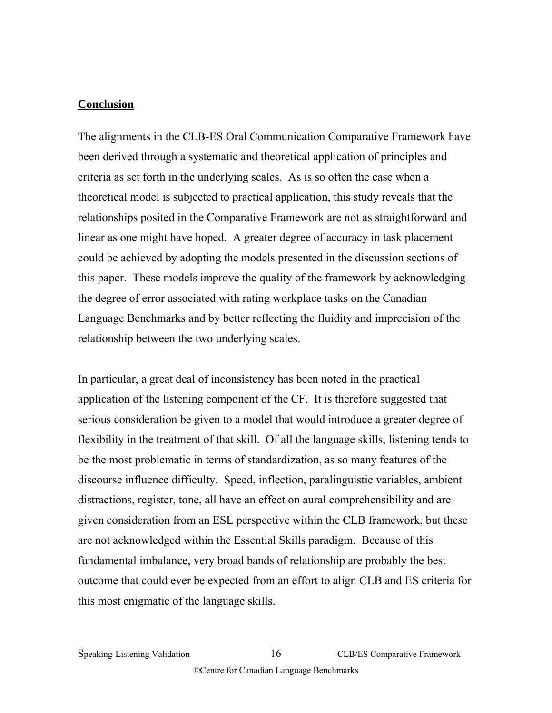#### **Conclusion**

The alignments in the CLB-ES Oral Communication Comparative Framework have been derived through a systematic and theoretical application of principles and criteria as set forth in the underlying scales. As is so often the case when a theoretical model is subjected to practical application, this study reveals that the relationships posited in the Comparative Framework are not as straightforward and linear as one might have hoped. A greater degree of accuracy in task placement could be achieved by adopting the models presented in the discussion sections of this paper. These models improve the quality of the framework by acknowledging the degree of error associated with rating workplace tasks on the Canadian Language Benchmarks and by better reflecting the fluidity and imprecision of the relationship between the two underlying scales.

In particular, a great deal of inconsistency has been noted in the practical application of the listening component of the CF. It is therefore suggested that serious consideration be given to a model that would introduce a greater degree of flexibility in the treatment of that skill. Of all the language skills, listening tends to be the most problematic in terms of standardization, as so many features of the discourse influence difficulty. Speed, inflection, paralinguistic variables, ambient distractions, register, tone, all have an effect on aural comprehensibility and are given consideration from an ESL perspective within the CLB framework, but these are not acknowledged within the Essential Skills paradigm. Because of this fundamental imbalance, very broad bands of relationship are probably the best outcome that could ever be expected from an effort to align CLB and ES criteria for this most enigmatic of the language skills.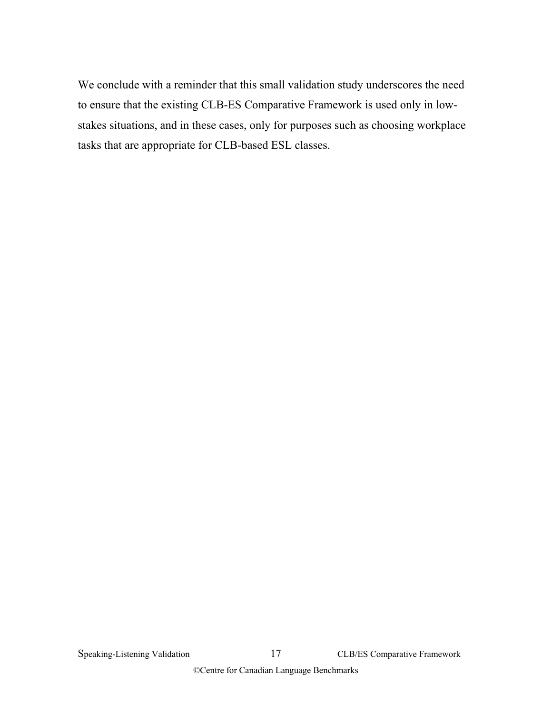We conclude with a reminder that this small validation study underscores the need to ensure that the existing CLB-ES Comparative Framework is used only in lowstakes situations, and in these cases, only for purposes such as choosing workplace tasks that are appropriate for CLB-based ESL classes.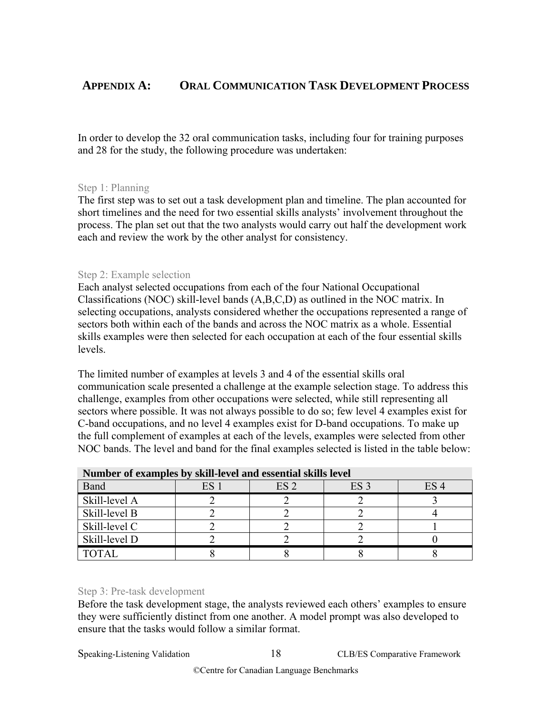<span id="page-19-0"></span>In order to develop the 32 oral communication tasks, including four for training purposes and 28 for the study, the following procedure was undertaken:

#### Step 1: Planning

The first step was to set out a task development plan and timeline. The plan accounted for short timelines and the need for two essential skills analysts' involvement throughout the process. The plan set out that the two analysts would carry out half the development work each and review the work by the other analyst for consistency.

#### Step 2: Example selection

Each analyst selected occupations from each of the four National Occupational Classifications (NOC) skill-level bands (A,B,C,D) as outlined in the NOC matrix. In selecting occupations, analysts considered whether the occupations represented a range of sectors both within each of the bands and across the NOC matrix as a whole. Essential skills examples were then selected for each occupation at each of the four essential skills levels.

The limited number of examples at levels 3 and 4 of the essential skills oral communication scale presented a challenge at the example selection stage. To address this challenge, examples from other occupations were selected, while still representing all sectors where possible. It was not always possible to do so; few level 4 examples exist for C-band occupations, and no level 4 examples exist for D-band occupations. To make up the full complement of examples at each of the levels, examples were selected from other NOC bands. The level and band for the final examples selected is listed in the table below:

| Number of examples by skill-level and essential skills level |      |      |      |      |
|--------------------------------------------------------------|------|------|------|------|
| <b>Band</b>                                                  | ES 1 | ES 2 | ES 3 | ES 4 |
| Skill-level A                                                |      |      |      |      |
| Skill-level B                                                |      |      |      |      |
| Skill-level C                                                |      |      |      |      |
| Skill-level D                                                |      |      |      |      |
| <b>TOTAL</b>                                                 |      |      |      |      |

#### **Number of examples by skill-level and essential skills level**

#### Step 3: Pre-task development

Before the task development stage, the analysts reviewed each others' examples to ensure they were sufficiently distinct from one another. A model prompt was also developed to ensure that the tasks would follow a similar format.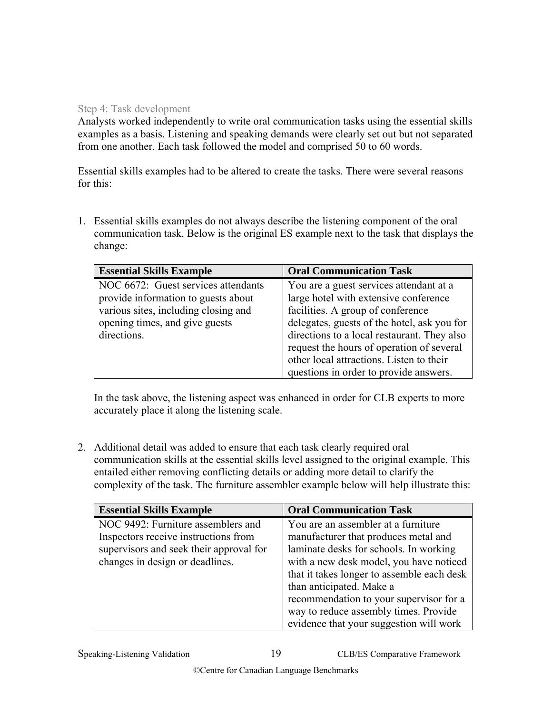Step 4: Task development

Analysts worked independently to write oral communication tasks using the essential skills examples as a basis. Listening and speaking demands were clearly set out but not separated from one another. Each task followed the model and comprised 50 to 60 words.

Essential skills examples had to be altered to create the tasks. There were several reasons for this:

1. Essential skills examples do not always describe the listening component of the oral communication task. Below is the original ES example next to the task that displays the change:

| <b>Essential Skills Example</b>      | <b>Oral Communication Task</b>              |
|--------------------------------------|---------------------------------------------|
| NOC 6672: Guest services attendants  | You are a guest services attendant at a     |
| provide information to guests about  | large hotel with extensive conference       |
| various sites, including closing and | facilities. A group of conference           |
| opening times, and give guests       | delegates, guests of the hotel, ask you for |
| directions.                          | directions to a local restaurant. They also |
|                                      | request the hours of operation of several   |
|                                      | other local attractions. Listen to their    |
|                                      | questions in order to provide answers.      |

In the task above, the listening aspect was enhanced in order for CLB experts to more accurately place it along the listening scale.

2. Additional detail was added to ensure that each task clearly required oral communication skills at the essential skills level assigned to the original example. This entailed either removing conflicting details or adding more detail to clarify the complexity of the task. The furniture assembler example below will help illustrate this:

| <b>Essential Skills Example</b>                                                                                                                          | <b>Oral Communication Task</b>                                                                                                                                                                                                                                                                                                                                            |
|----------------------------------------------------------------------------------------------------------------------------------------------------------|---------------------------------------------------------------------------------------------------------------------------------------------------------------------------------------------------------------------------------------------------------------------------------------------------------------------------------------------------------------------------|
| NOC 9492: Furniture assemblers and<br>Inspectors receive instructions from<br>supervisors and seek their approval for<br>changes in design or deadlines. | You are an assembler at a furniture<br>manufacturer that produces metal and<br>laminate desks for schools. In working<br>with a new desk model, you have noticed<br>that it takes longer to assemble each desk<br>than anticipated. Make a<br>recommendation to your supervisor for a<br>way to reduce assembly times. Provide<br>evidence that your suggestion will work |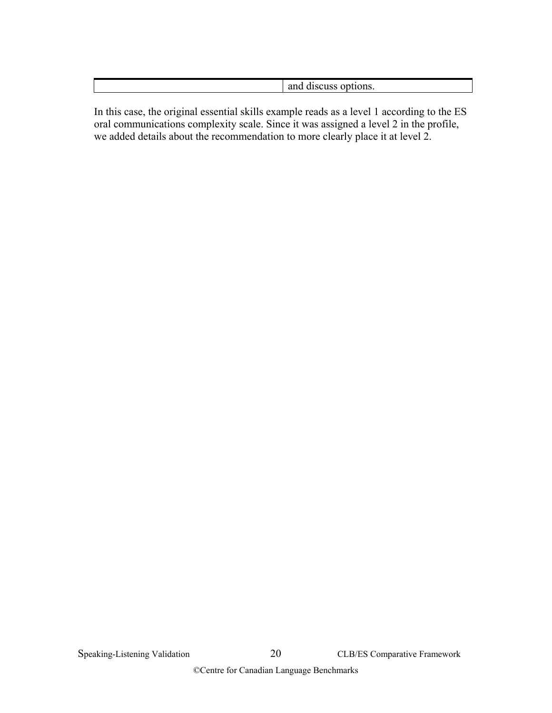|  |  | - -<br>ptions.<br>$\sim$ $\sim$<br>- د ۱ |
|--|--|------------------------------------------|
|--|--|------------------------------------------|

In this case, the original essential skills example reads as a level 1 according to the ES oral communications complexity scale. Since it was assigned a level 2 in the profile, we added details about the recommendation to more clearly place it at level 2.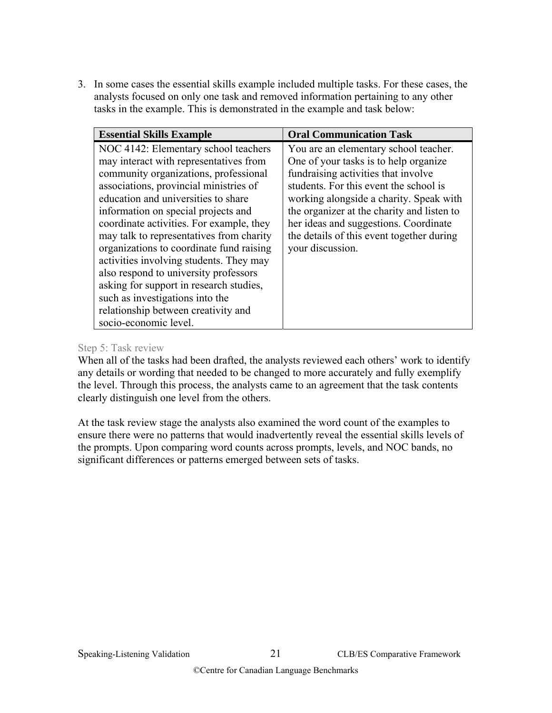3. In some cases the essential skills example included multiple tasks. For these cases, the analysts focused on only one task and removed information pertaining to any other tasks in the example. This is demonstrated in the example and task below:

| <b>Essential Skills Example</b>                                                                                                                                                                                                                                                                                                                                                                                                                                                                                    | <b>Oral Communication Task</b>                                                                                                                                                                                                                                                                                                                                     |
|--------------------------------------------------------------------------------------------------------------------------------------------------------------------------------------------------------------------------------------------------------------------------------------------------------------------------------------------------------------------------------------------------------------------------------------------------------------------------------------------------------------------|--------------------------------------------------------------------------------------------------------------------------------------------------------------------------------------------------------------------------------------------------------------------------------------------------------------------------------------------------------------------|
| NOC 4142: Elementary school teachers<br>may interact with representatives from<br>community organizations, professional<br>associations, provincial ministries of<br>education and universities to share<br>information on special projects and<br>coordinate activities. For example, they<br>may talk to representatives from charity<br>organizations to coordinate fund raising<br>activities involving students. They may<br>also respond to university professors<br>asking for support in research studies, | You are an elementary school teacher.<br>One of your tasks is to help organize<br>fundraising activities that involve<br>students. For this event the school is<br>working alongside a charity. Speak with<br>the organizer at the charity and listen to<br>her ideas and suggestions. Coordinate<br>the details of this event together during<br>your discussion. |
| such as investigations into the<br>relationship between creativity and                                                                                                                                                                                                                                                                                                                                                                                                                                             |                                                                                                                                                                                                                                                                                                                                                                    |
| socio-economic level.                                                                                                                                                                                                                                                                                                                                                                                                                                                                                              |                                                                                                                                                                                                                                                                                                                                                                    |

#### Step 5: Task review

When all of the tasks had been drafted, the analysts reviewed each others' work to identify any details or wording that needed to be changed to more accurately and fully exemplify the level. Through this process, the analysts came to an agreement that the task contents clearly distinguish one level from the others.

At the task review stage the analysts also examined the word count of the examples to ensure there were no patterns that would inadvertently reveal the essential skills levels of the prompts. Upon comparing word counts across prompts, levels, and NOC bands, no significant differences or patterns emerged between sets of tasks.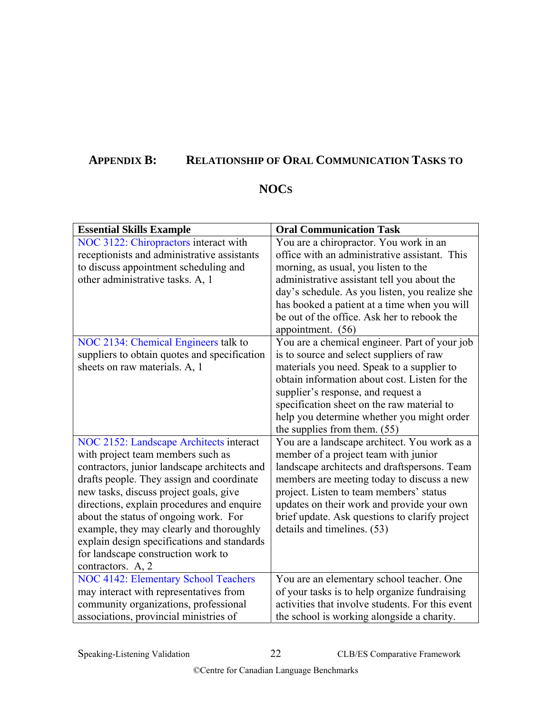## <span id="page-23-0"></span>**APPENDIX B: RELATIONSHIP OF ORAL COMMUNICATION TASKS TO**

### **NOCS**

| <b>Essential Skills Example</b>              | <b>Oral Communication Task</b>                   |
|----------------------------------------------|--------------------------------------------------|
| NOC 3122: Chiropractors interact with        | You are a chiropractor. You work in an           |
| receptionists and administrative assistants  | office with an administrative assistant. This    |
| to discuss appointment scheduling and        | morning, as usual, you listen to the             |
| other administrative tasks. A, 1             | administrative assistant tell you about the      |
|                                              | day's schedule. As you listen, you realize she   |
|                                              | has booked a patient at a time when you will     |
|                                              | be out of the office. Ask her to rebook the      |
|                                              | appointment. (56)                                |
| NOC 2134: Chemical Engineers talk to         | You are a chemical engineer. Part of your job    |
| suppliers to obtain quotes and specification | is to source and select suppliers of raw         |
| sheets on raw materials. A, 1                | materials you need. Speak to a supplier to       |
|                                              | obtain information about cost. Listen for the    |
|                                              | supplier's response, and request a               |
|                                              | specification sheet on the raw material to       |
|                                              | help you determine whether you might order       |
|                                              | the supplies from them. $(55)$                   |
| NOC 2152: Landscape Architects interact      | You are a landscape architect. You work as a     |
| with project team members such as            | member of a project team with junior             |
| contractors, junior landscape architects and | landscape architects and draftspersons. Team     |
| drafts people. They assign and coordinate    | members are meeting today to discuss a new       |
| new tasks, discuss project goals, give       | project. Listen to team members' status          |
| directions, explain procedures and enquire   | updates on their work and provide your own       |
| about the status of ongoing work. For        | brief update. Ask questions to clarify project   |
| example, they may clearly and thoroughly     | details and timelines. (53)                      |
| explain design specifications and standards  |                                                  |
| for landscape construction work to           |                                                  |
| contractors. A, 2                            |                                                  |
| NOC 4142: Elementary School Teachers         | You are an elementary school teacher. One        |
| may interact with representatives from       | of your tasks is to help organize fundraising    |
| community organizations, professional        | activities that involve students. For this event |
| associations, provincial ministries of       | the school is working alongside a charity.       |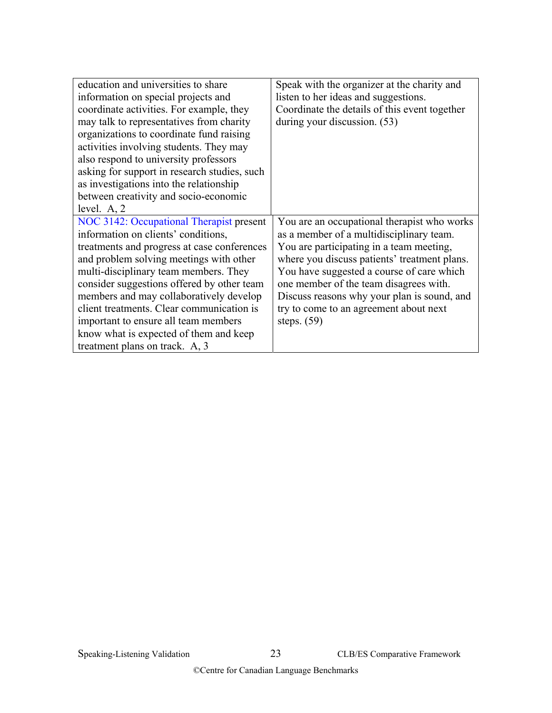| education and universities to share          | Speak with the organizer at the charity and   |
|----------------------------------------------|-----------------------------------------------|
| information on special projects and          | listen to her ideas and suggestions.          |
| coordinate activities. For example, they     | Coordinate the details of this event together |
| may talk to representatives from charity     | during your discussion. (53)                  |
| organizations to coordinate fund raising     |                                               |
| activities involving students. They may      |                                               |
| also respond to university professors        |                                               |
|                                              |                                               |
| asking for support in research studies, such |                                               |
| as investigations into the relationship      |                                               |
| between creativity and socio-economic        |                                               |
| level. $A, 2$                                |                                               |
| NOC 3142: Occupational Therapist present     | You are an occupational therapist who works   |
| information on clients' conditions,          | as a member of a multidisciplinary team.      |
| treatments and progress at case conferences  | You are participating in a team meeting,      |
| and problem solving meetings with other      | where you discuss patients' treatment plans.  |
| multi-disciplinary team members. They        | You have suggested a course of care which     |
| consider suggestions offered by other team   | one member of the team disagrees with.        |
| members and may collaboratively develop      | Discuss reasons why your plan is sound, and   |
| client treatments. Clear communication is    | try to come to an agreement about next        |
| important to ensure all team members         | steps. $(59)$                                 |
| know what is expected of them and keep       |                                               |
| treatment plans on track. A, 3               |                                               |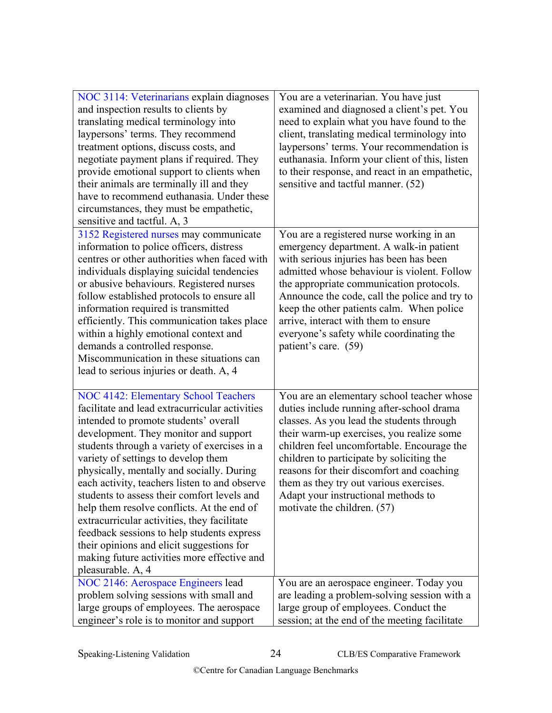| NOC 3114: Veterinarians explain diagnoses<br>and inspection results to clients by<br>translating medical terminology into<br>laypersons' terms. They recommend<br>treatment options, discuss costs, and<br>negotiate payment plans if required. They<br>provide emotional support to clients when<br>their animals are terminally ill and they<br>have to recommend euthanasia. Under these<br>circumstances, they must be empathetic,<br>sensitive and tactful. A, 3                                                                                                                                                                                                           | You are a veterinarian. You have just<br>examined and diagnosed a client's pet. You<br>need to explain what you have found to the<br>client, translating medical terminology into<br>laypersons' terms. Your recommendation is<br>euthanasia. Inform your client of this, listen<br>to their response, and react in an empathetic,<br>sensitive and tactful manner. (52)                                                                   |
|---------------------------------------------------------------------------------------------------------------------------------------------------------------------------------------------------------------------------------------------------------------------------------------------------------------------------------------------------------------------------------------------------------------------------------------------------------------------------------------------------------------------------------------------------------------------------------------------------------------------------------------------------------------------------------|--------------------------------------------------------------------------------------------------------------------------------------------------------------------------------------------------------------------------------------------------------------------------------------------------------------------------------------------------------------------------------------------------------------------------------------------|
| 3152 Registered nurses may communicate<br>information to police officers, distress<br>centres or other authorities when faced with<br>individuals displaying suicidal tendencies<br>or abusive behaviours. Registered nurses<br>follow established protocols to ensure all<br>information required is transmitted<br>efficiently. This communication takes place<br>within a highly emotional context and<br>demands a controlled response.<br>Miscommunication in these situations can<br>lead to serious injuries or death. A, 4                                                                                                                                              | You are a registered nurse working in an<br>emergency department. A walk-in patient<br>with serious injuries has been has been<br>admitted whose behaviour is violent. Follow<br>the appropriate communication protocols.<br>Announce the code, call the police and try to<br>keep the other patients calm. When police<br>arrive, interact with them to ensure<br>everyone's safety while coordinating the<br>patient's care. (59)        |
| <b>NOC 4142: Elementary School Teachers</b><br>facilitate and lead extracurricular activities<br>intended to promote students' overall<br>development. They monitor and support<br>students through a variety of exercises in a<br>variety of settings to develop them<br>physically, mentally and socially. During<br>each activity, teachers listen to and observe<br>students to assess their comfort levels and<br>help them resolve conflicts. At the end of<br>extracurricular activities, they facilitate<br>feedback sessions to help students express<br>their opinions and elicit suggestions for<br>making future activities more effective and<br>pleasurable. A, 4 | You are an elementary school teacher whose<br>duties include running after-school drama<br>classes. As you lead the students through<br>their warm-up exercises, you realize some<br>children feel uncomfortable. Encourage the<br>children to participate by soliciting the<br>reasons for their discomfort and coaching<br>them as they try out various exercises.<br>Adapt your instructional methods to<br>motivate the children. (57) |
| NOC 2146: Aerospace Engineers lead<br>problem solving sessions with small and<br>large groups of employees. The aerospace<br>engineer's role is to monitor and support                                                                                                                                                                                                                                                                                                                                                                                                                                                                                                          | You are an aerospace engineer. Today you<br>are leading a problem-solving session with a<br>large group of employees. Conduct the<br>session; at the end of the meeting facilitate                                                                                                                                                                                                                                                         |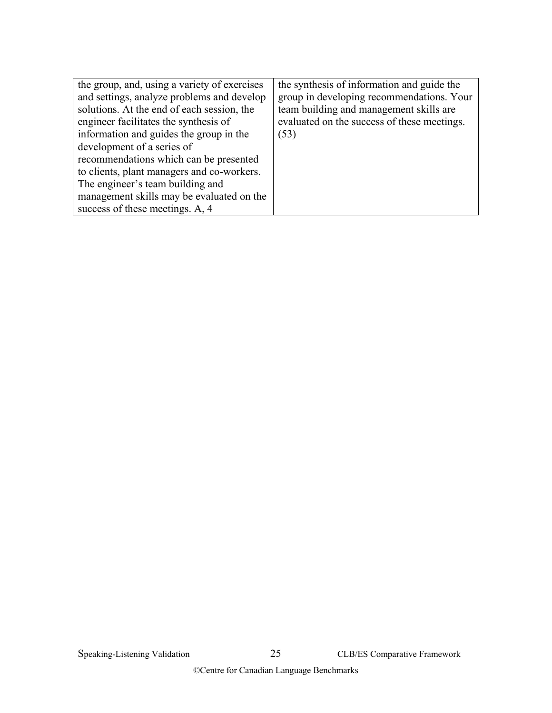| the group, and, using a variety of exercises | the synthesis of information and guide the  |
|----------------------------------------------|---------------------------------------------|
| and settings, analyze problems and develop   | group in developing recommendations. Your   |
| solutions. At the end of each session, the   | team building and management skills are     |
| engineer facilitates the synthesis of        | evaluated on the success of these meetings. |
| information and guides the group in the      | (53)                                        |
| development of a series of                   |                                             |
| recommendations which can be presented       |                                             |
| to clients, plant managers and co-workers.   |                                             |
| The engineer's team building and             |                                             |
| management skills may be evaluated on the    |                                             |
| success of these meetings. A, 4              |                                             |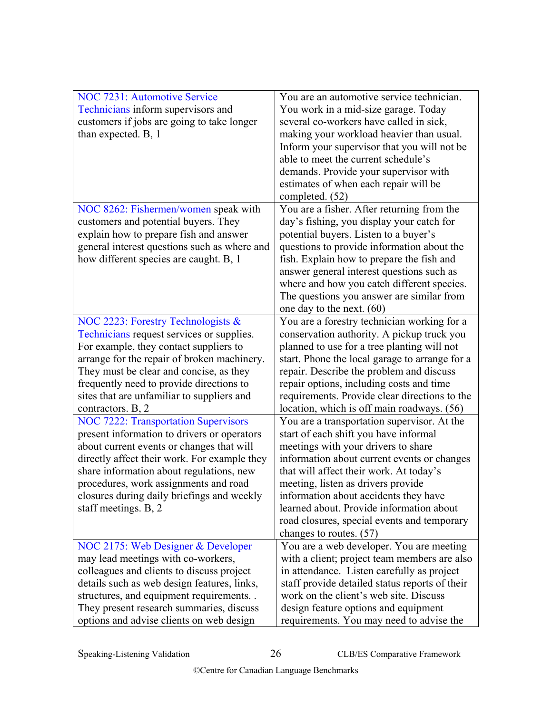| <b>NOC 7231: Automotive Service</b>          | You are an automotive service technician.      |
|----------------------------------------------|------------------------------------------------|
| Technicians inform supervisors and           | You work in a mid-size garage. Today           |
| customers if jobs are going to take longer   | several co-workers have called in sick,        |
| than expected. B, 1                          | making your workload heavier than usual.       |
|                                              | Inform your supervisor that you will not be    |
|                                              | able to meet the current schedule's            |
|                                              | demands. Provide your supervisor with          |
|                                              | estimates of when each repair will be          |
|                                              | completed. (52)                                |
| NOC 8262: Fishermen/women speak with         | You are a fisher. After returning from the     |
| customers and potential buyers. They         | day's fishing, you display your catch for      |
| explain how to prepare fish and answer       | potential buyers. Listen to a buyer's          |
| general interest questions such as where and | questions to provide information about the     |
| how different species are caught. B, 1       | fish. Explain how to prepare the fish and      |
|                                              | answer general interest questions such as      |
|                                              | where and how you catch different species.     |
|                                              | The questions you answer are similar from      |
|                                              | one day to the next. (60)                      |
| NOC 2223: Forestry Technologists &           | You are a forestry technician working for a    |
| Technicians request services or supplies.    | conservation authority. A pickup truck you     |
| For example, they contact suppliers to       | planned to use for a tree planting will not    |
| arrange for the repair of broken machinery.  | start. Phone the local garage to arrange for a |
| They must be clear and concise, as they      | repair. Describe the problem and discuss       |
| frequently need to provide directions to     | repair options, including costs and time       |
| sites that are unfamiliar to suppliers and   | requirements. Provide clear directions to the  |
| contractors. B, 2                            | location, which is off main roadways. (56)     |
| <b>NOC 7222: Transportation Supervisors</b>  | You are a transportation supervisor. At the    |
| present information to drivers or operators  | start of each shift you have informal          |
| about current events or changes that will    | meetings with your drivers to share            |
| directly affect their work. For example they | information about current events or changes    |
| share information about regulations, new     | that will affect their work. At today's        |
| procedures, work assignments and road        | meeting, listen as drivers provide             |
| closures during daily briefings and weekly   | information about accidents they have          |
| staff meetings. B, 2                         | learned about. Provide information about       |
|                                              | road closures, special events and temporary    |
|                                              | changes to routes. (57)                        |
| NOC 2175: Web Designer & Developer           | You are a web developer. You are meeting       |
| may lead meetings with co-workers,           | with a client; project team members are also   |
| colleagues and clients to discuss project    | in attendance. Listen carefully as project     |
| details such as web design features, links,  | staff provide detailed status reports of their |
| structures, and equipment requirements       | work on the client's web site. Discuss         |
| They present research summaries, discuss     | design feature options and equipment           |
| options and advise clients on web design     | requirements. You may need to advise the       |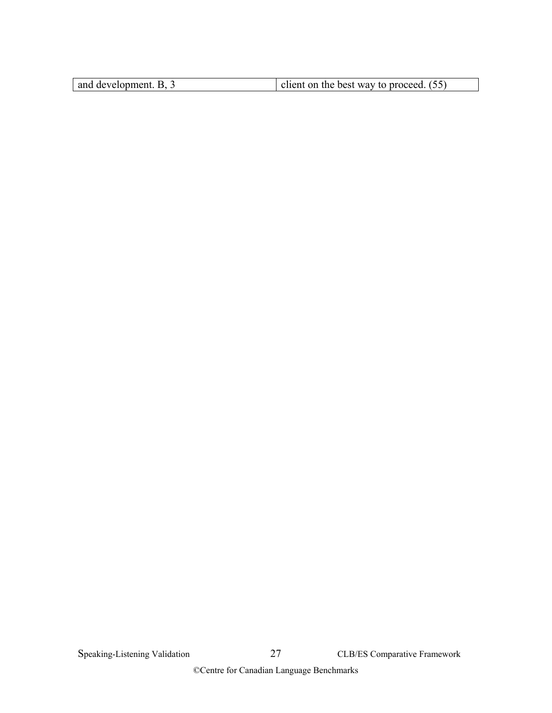| and development. B, <sup>2</sup> | client on the best way to proceed. $(55)$ |
|----------------------------------|-------------------------------------------|
|                                  |                                           |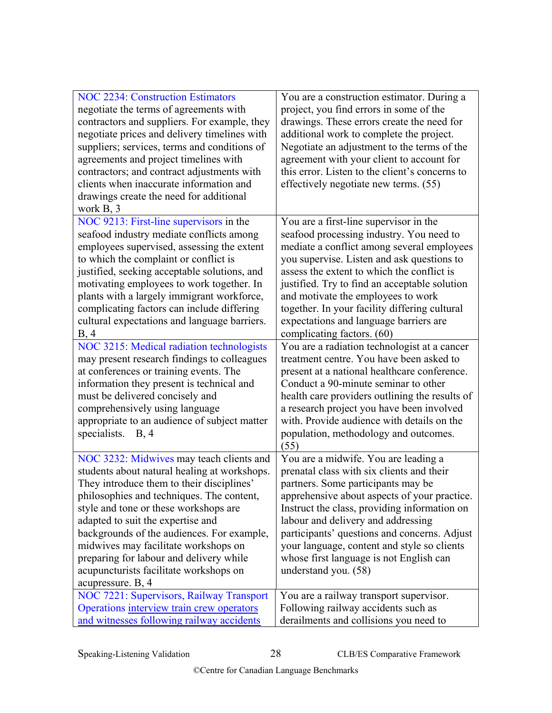| <b>NOC 2234: Construction Estimators</b><br>negotiate the terms of agreements with<br>contractors and suppliers. For example, they<br>negotiate prices and delivery timelines with<br>suppliers; services, terms and conditions of<br>agreements and project timelines with<br>contractors; and contract adjustments with<br>clients when inaccurate information and<br>drawings create the need for additional<br>work $B$ , 3                                  | You are a construction estimator. During a<br>project, you find errors in some of the<br>drawings. These errors create the need for<br>additional work to complete the project.<br>Negotiate an adjustment to the terms of the<br>agreement with your client to account for<br>this error. Listen to the client's concerns to<br>effectively negotiate new terms. (55)                                                                       |
|------------------------------------------------------------------------------------------------------------------------------------------------------------------------------------------------------------------------------------------------------------------------------------------------------------------------------------------------------------------------------------------------------------------------------------------------------------------|----------------------------------------------------------------------------------------------------------------------------------------------------------------------------------------------------------------------------------------------------------------------------------------------------------------------------------------------------------------------------------------------------------------------------------------------|
| NOC 9213: First-line supervisors in the<br>seafood industry mediate conflicts among<br>employees supervised, assessing the extent<br>to which the complaint or conflict is<br>justified, seeking acceptable solutions, and<br>motivating employees to work together. In<br>plants with a largely immigrant workforce,<br>complicating factors can include differing<br>cultural expectations and language barriers.<br>B, 4                                      | You are a first-line supervisor in the<br>seafood processing industry. You need to<br>mediate a conflict among several employees<br>you supervise. Listen and ask questions to<br>assess the extent to which the conflict is<br>justified. Try to find an acceptable solution<br>and motivate the employees to work<br>together. In your facility differing cultural<br>expectations and language barriers are<br>complicating factors. (60) |
| NOC 3215: Medical radiation technologists<br>may present research findings to colleagues<br>at conferences or training events. The<br>information they present is technical and<br>must be delivered concisely and<br>comprehensively using language<br>appropriate to an audience of subject matter<br>specialists. $B, 4$                                                                                                                                      | You are a radiation technologist at a cancer<br>treatment centre. You have been asked to<br>present at a national healthcare conference.<br>Conduct a 90-minute seminar to other<br>health care providers outlining the results of<br>a research project you have been involved<br>with. Provide audience with details on the<br>population, methodology and outcomes.<br>(55)                                                               |
| NOC 3232: Midwives may teach clients and<br>students about natural healing at workshops.<br>They introduce them to their disciplines'<br>philosophies and techniques. The content,<br>style and tone or these workshops are<br>adapted to suit the expertise and<br>backgrounds of the audiences. For example,<br>midwives may facilitate workshops on<br>preparing for labour and delivery while<br>acupuncturists facilitate workshops on<br>acupressure. B, 4 | You are a midwife. You are leading a<br>prenatal class with six clients and their<br>partners. Some participants may be<br>apprehensive about aspects of your practice.<br>Instruct the class, providing information on<br>labour and delivery and addressing<br>participants' questions and concerns. Adjust<br>your language, content and style so clients<br>whose first language is not English can<br>understand you. (58)              |
| NOC 7221: Supervisors, Railway Transport<br>Operations interview train crew operators<br>and witnesses following railway accidents                                                                                                                                                                                                                                                                                                                               | You are a railway transport supervisor.<br>Following railway accidents such as<br>derailments and collisions you need to                                                                                                                                                                                                                                                                                                                     |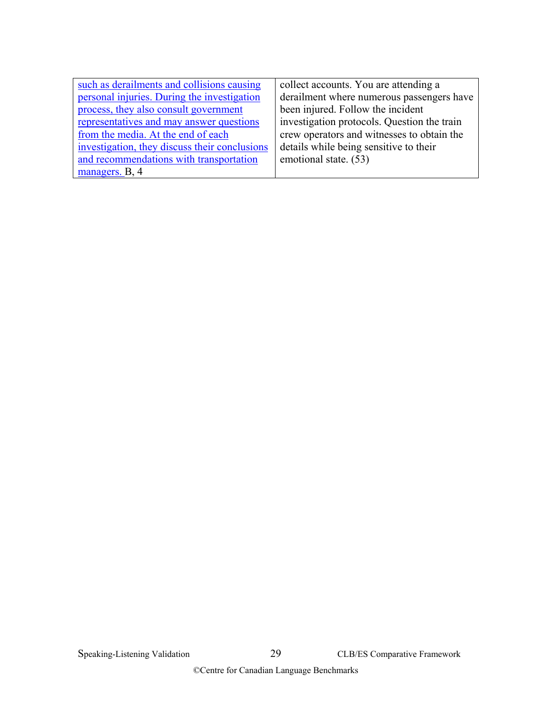| such as derailments and collisions causing    | collect accounts. You are attending a       |
|-----------------------------------------------|---------------------------------------------|
| personal injuries. During the investigation   | derailment where numerous passengers have   |
| process, they also consult government         | been injured. Follow the incident           |
| representatives and may answer questions      | investigation protocols. Question the train |
| from the media. At the end of each            | crew operators and witnesses to obtain the  |
| investigation, they discuss their conclusions | details while being sensitive to their      |
| and recommendations with transportation       | emotional state. (53)                       |
| managers. B, 4                                |                                             |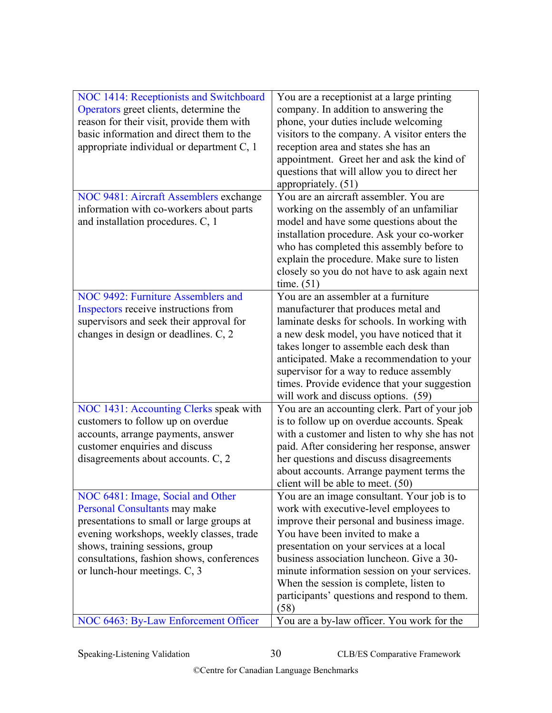| NOC 1414: Receptionists and Switchboard<br>Operators greet clients, determine the<br>reason for their visit, provide them with<br>basic information and direct them to the<br>appropriate individual or department C, 1                                                     | You are a receptionist at a large printing<br>company. In addition to answering the<br>phone, your duties include welcoming<br>visitors to the company. A visitor enters the<br>reception area and states she has an<br>appointment. Greet her and ask the kind of<br>questions that will allow you to direct her<br>appropriately. (51)                                                                           |
|-----------------------------------------------------------------------------------------------------------------------------------------------------------------------------------------------------------------------------------------------------------------------------|--------------------------------------------------------------------------------------------------------------------------------------------------------------------------------------------------------------------------------------------------------------------------------------------------------------------------------------------------------------------------------------------------------------------|
| NOC 9481: Aircraft Assemblers exchange<br>information with co-workers about parts<br>and installation procedures. C, 1                                                                                                                                                      | You are an aircraft assembler. You are<br>working on the assembly of an unfamiliar<br>model and have some questions about the<br>installation procedure. Ask your co-worker<br>who has completed this assembly before to<br>explain the procedure. Make sure to listen<br>closely so you do not have to ask again next<br>time. $(51)$                                                                             |
| NOC 9492: Furniture Assemblers and<br>Inspectors receive instructions from<br>supervisors and seek their approval for<br>changes in design or deadlines. C, 2                                                                                                               | You are an assembler at a furniture<br>manufacturer that produces metal and<br>laminate desks for schools. In working with<br>a new desk model, you have noticed that it<br>takes longer to assemble each desk than<br>anticipated. Make a recommendation to your<br>supervisor for a way to reduce assembly<br>times. Provide evidence that your suggestion<br>will work and discuss options. (59)                |
| NOC 1431: Accounting Clerks speak with<br>customers to follow up on overdue<br>accounts, arrange payments, answer<br>customer enquiries and discuss<br>disagreements about accounts. C, 2                                                                                   | You are an accounting clerk. Part of your job<br>is to follow up on overdue accounts. Speak<br>with a customer and listen to why she has not<br>paid. After considering her response, answer<br>her questions and discuss disagreements<br>about accounts. Arrange payment terms the<br>client will be able to meet. (50)                                                                                          |
| NOC 6481: Image, Social and Other<br>Personal Consultants may make<br>presentations to small or large groups at<br>evening workshops, weekly classes, trade<br>shows, training sessions, group<br>consultations, fashion shows, conferences<br>or lunch-hour meetings. C, 3 | You are an image consultant. Your job is to<br>work with executive-level employees to<br>improve their personal and business image.<br>You have been invited to make a<br>presentation on your services at a local<br>business association luncheon. Give a 30-<br>minute information session on your services.<br>When the session is complete, listen to<br>participants' questions and respond to them.<br>(58) |
| NOC 6463: By-Law Enforcement Officer                                                                                                                                                                                                                                        | You are a by-law officer. You work for the                                                                                                                                                                                                                                                                                                                                                                         |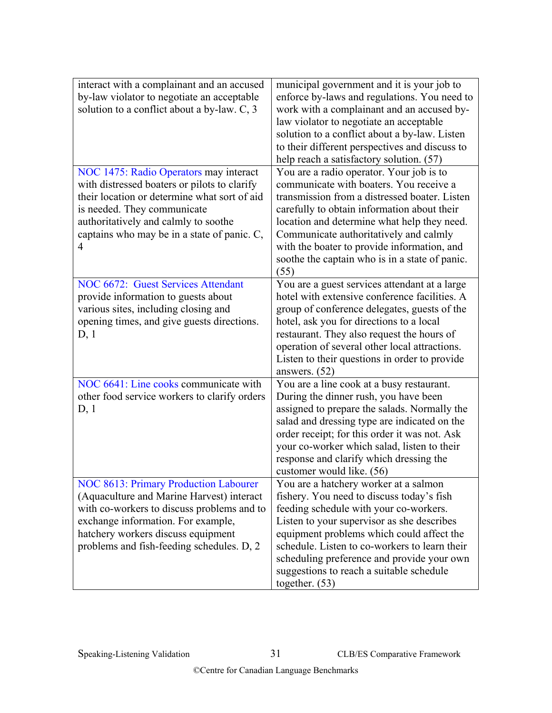| interact with a complainant and an accused<br>by-law violator to negotiate an acceptable<br>solution to a conflict about a by-law. C, 3                                                                                                                           | municipal government and it is your job to<br>enforce by-laws and regulations. You need to<br>work with a complainant and an accused by-<br>law violator to negotiate an acceptable<br>solution to a conflict about a by-law. Listen<br>to their different perspectives and discuss to<br>help reach a satisfactory solution. (57)                                                     |
|-------------------------------------------------------------------------------------------------------------------------------------------------------------------------------------------------------------------------------------------------------------------|----------------------------------------------------------------------------------------------------------------------------------------------------------------------------------------------------------------------------------------------------------------------------------------------------------------------------------------------------------------------------------------|
| NOC 1475: Radio Operators may interact<br>with distressed boaters or pilots to clarify<br>their location or determine what sort of aid<br>is needed. They communicate<br>authoritatively and calmly to soothe<br>captains who may be in a state of panic. C,<br>4 | You are a radio operator. Your job is to<br>communicate with boaters. You receive a<br>transmission from a distressed boater. Listen<br>carefully to obtain information about their<br>location and determine what help they need.<br>Communicate authoritatively and calmly<br>with the boater to provide information, and<br>soothe the captain who is in a state of panic.<br>(55)  |
| <b>NOC 6672: Guest Services Attendant</b><br>provide information to guests about<br>various sites, including closing and<br>opening times, and give guests directions.<br>D, 1                                                                                    | You are a guest services attendant at a large<br>hotel with extensive conference facilities. A<br>group of conference delegates, guests of the<br>hotel, ask you for directions to a local<br>restaurant. They also request the hours of<br>operation of several other local attractions.<br>Listen to their questions in order to provide<br>answers. $(52)$                          |
| NOC 6641: Line cooks communicate with<br>other food service workers to clarify orders<br>D, 1                                                                                                                                                                     | You are a line cook at a busy restaurant.<br>During the dinner rush, you have been<br>assigned to prepare the salads. Normally the<br>salad and dressing type are indicated on the<br>order receipt; for this order it was not. Ask<br>your co-worker which salad, listen to their<br>response and clarify which dressing the<br>customer would like. (56)                             |
| <b>NOC 8613: Primary Production Labourer</b><br>(Aquaculture and Marine Harvest) interact<br>with co-workers to discuss problems and to<br>exchange information. For example,<br>hatchery workers discuss equipment<br>problems and fish-feeding schedules. D, 2  | You are a hatchery worker at a salmon<br>fishery. You need to discuss today's fish<br>feeding schedule with your co-workers.<br>Listen to your supervisor as she describes<br>equipment problems which could affect the<br>schedule. Listen to co-workers to learn their<br>scheduling preference and provide your own<br>suggestions to reach a suitable schedule<br>together. $(53)$ |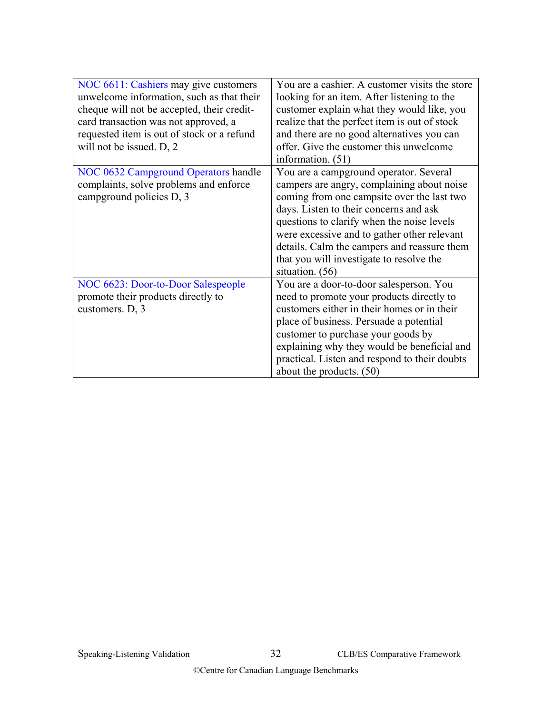| NOC 6611: Cashiers may give customers      | You are a cashier. A customer visits the store |
|--------------------------------------------|------------------------------------------------|
| unwelcome information, such as that their  | looking for an item. After listening to the    |
| cheque will not be accepted, their credit- | customer explain what they would like, you     |
| card transaction was not approved, a       | realize that the perfect item is out of stock  |
| requested item is out of stock or a refund | and there are no good alternatives you can     |
| will not be issued. D, 2                   | offer. Give the customer this unwelcome        |
|                                            | information. (51)                              |
| NOC 0632 Campground Operators handle       | You are a campground operator. Several         |
| complaints, solve problems and enforce     | campers are angry, complaining about noise     |
| campground policies D, 3                   | coming from one campsite over the last two     |
|                                            | days. Listen to their concerns and ask         |
|                                            | questions to clarify when the noise levels     |
|                                            | were excessive and to gather other relevant    |
|                                            | details. Calm the campers and reassure them    |
|                                            | that you will investigate to resolve the       |
|                                            | situation. (56)                                |
| NOC 6623: Door-to-Door Salespeople         | You are a door-to-door salesperson. You        |
| promote their products directly to         | need to promote your products directly to      |
| customers. D, 3                            | customers either in their homes or in their    |
|                                            | place of business. Persuade a potential        |
|                                            | customer to purchase your goods by             |
|                                            | explaining why they would be beneficial and    |
|                                            | practical. Listen and respond to their doubts  |
|                                            | about the products. (50)                       |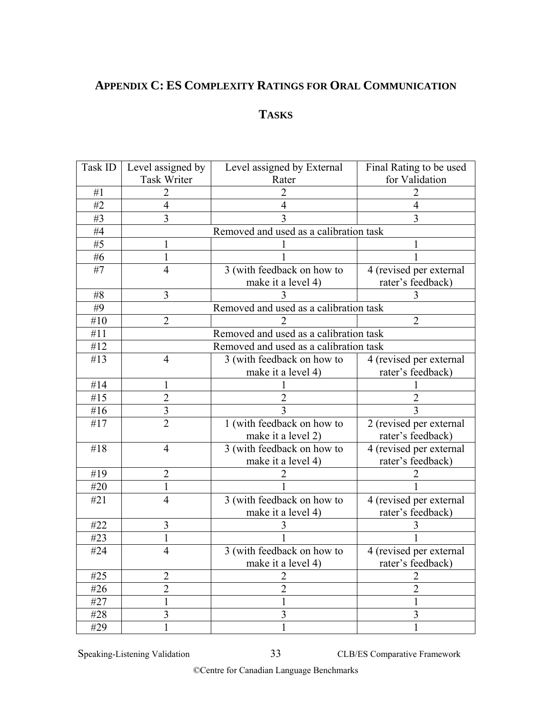## <span id="page-34-0"></span>**APPENDIX C: ES COMPLEXITY RATINGS FOR ORAL COMMUNICATION**

### **TASKS**

| Task ID | Level assigned by  | Level assigned by External             | Final Rating to be used |  |  |  |
|---------|--------------------|----------------------------------------|-------------------------|--|--|--|
|         | <b>Task Writer</b> | Rater                                  | for Validation          |  |  |  |
| #1      |                    |                                        |                         |  |  |  |
| #2      | 4                  | 4                                      | 4                       |  |  |  |
| #3      | 3                  | 3                                      | 3                       |  |  |  |
| #4      |                    | Removed and used as a calibration task |                         |  |  |  |
| #5      |                    |                                        |                         |  |  |  |
| #6      | 1                  |                                        |                         |  |  |  |
| #7      | $\overline{4}$     | 3 (with feedback on how to             | 4 (revised per external |  |  |  |
|         |                    | make it a level 4)                     | rater's feedback)       |  |  |  |
| #8      | 3                  |                                        |                         |  |  |  |
| #9      |                    | Removed and used as a calibration task |                         |  |  |  |
| #10     | $\overline{2}$     |                                        | 2                       |  |  |  |
| #11     |                    | Removed and used as a calibration task |                         |  |  |  |
| #12     |                    | Removed and used as a calibration task |                         |  |  |  |
| #13     | $\overline{4}$     | 4 (revised per external                |                         |  |  |  |
|         |                    | rater's feedback)                      |                         |  |  |  |
| #14     |                    |                                        |                         |  |  |  |
| #15     | 2                  |                                        |                         |  |  |  |
| #16     | 3                  | 3                                      | 3                       |  |  |  |
| #17     | $\overline{2}$     | 1 (with feedback on how to             | 2 (revised per external |  |  |  |
|         |                    | make it a level 2)                     | rater's feedback)       |  |  |  |
| #18     | 4                  | 3 (with feedback on how to             | 4 (revised per external |  |  |  |
|         |                    | make it a level 4)                     | rater's feedback)       |  |  |  |
| #19     | 2                  |                                        |                         |  |  |  |
| #20     | 1                  |                                        |                         |  |  |  |
| #21     | 4                  | 3 (with feedback on how to             | 4 (revised per external |  |  |  |
|         |                    | make it a level 4)                     | rater's feedback)       |  |  |  |
| #22     | 3                  |                                        |                         |  |  |  |
| #23     | 1                  |                                        |                         |  |  |  |
| #24     | 4                  | 3 (with feedback on how to             | 4 (revised per external |  |  |  |
|         |                    | make it a level 4)                     | rater's feedback)       |  |  |  |
| #25     | $\overline{2}$     | $\overline{2}$                         | 2                       |  |  |  |
| #26     | $\overline{2}$     | $\overline{2}$                         | 2                       |  |  |  |
| #27     | 1                  | 1                                      | 1                       |  |  |  |
| #28     | $\overline{3}$     | 3                                      | 3                       |  |  |  |
| #29     | 1                  |                                        |                         |  |  |  |

33

Speaking-Listening Validation 33 CLB/ES Comparative Framework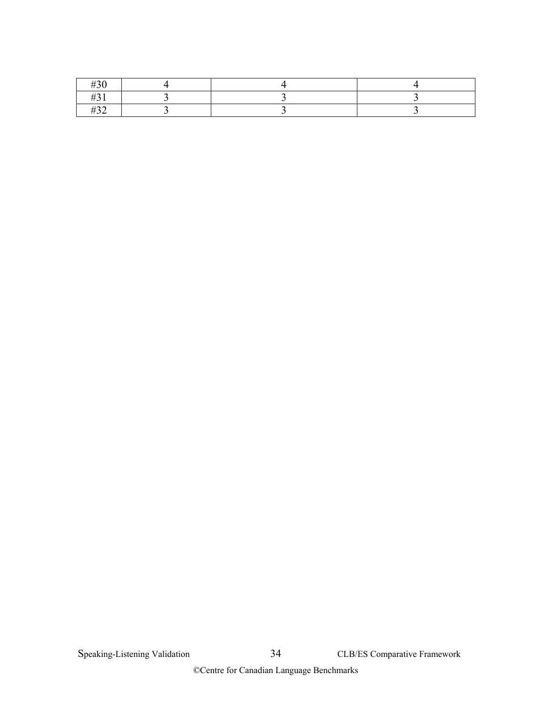| $\mathbf{112.0}$             |  |  |
|------------------------------|--|--|
| $11 \wedge 1$<br>$^+$<br>HJ. |  |  |
| $\overline{\phantom{a}}$     |  |  |

## Speaking-Listening Validation 34 CLB/ES Comparative Framework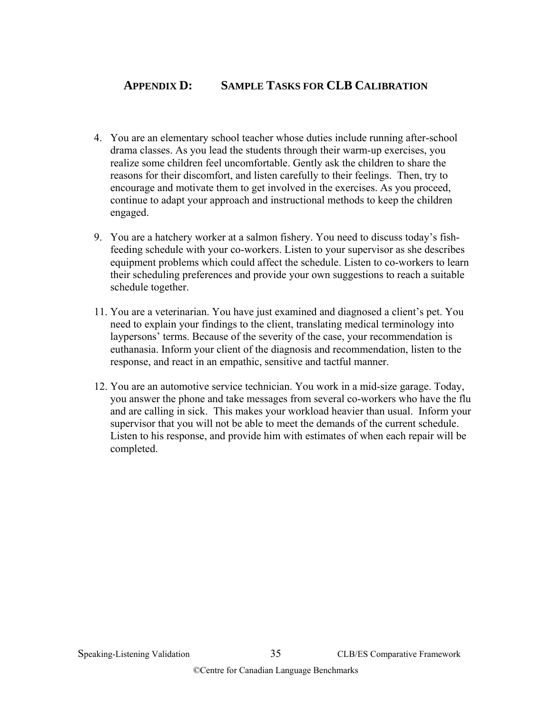## <span id="page-36-0"></span>**APPENDIX D: SAMPLE TASKS FOR CLB CALIBRATION**

- 4. You are an elementary school teacher whose duties include running after-school drama classes. As you lead the students through their warm-up exercises, you realize some children feel uncomfortable. Gently ask the children to share the reasons for their discomfort, and listen carefully to their feelings. Then, try to encourage and motivate them to get involved in the exercises. As you proceed, continue to adapt your approach and instructional methods to keep the children engaged.
- 9. You are a hatchery worker at a salmon fishery. You need to discuss today's fishfeeding schedule with your co-workers. Listen to your supervisor as she describes equipment problems which could affect the schedule. Listen to co-workers to learn their scheduling preferences and provide your own suggestions to reach a suitable schedule together.
- 11. You are a veterinarian. You have just examined and diagnosed a client's pet. You need to explain your findings to the client, translating medical terminology into laypersons' terms. Because of the severity of the case, your recommendation is euthanasia. Inform your client of the diagnosis and recommendation, listen to the response, and react in an empathic, sensitive and tactful manner.
- 12. You are an automotive service technician. You work in a mid-size garage. Today, you answer the phone and take messages from several co-workers who have the flu and are calling in sick. This makes your workload heavier than usual. Inform your supervisor that you will not be able to meet the demands of the current schedule. Listen to his response, and provide him with estimates of when each repair will be completed.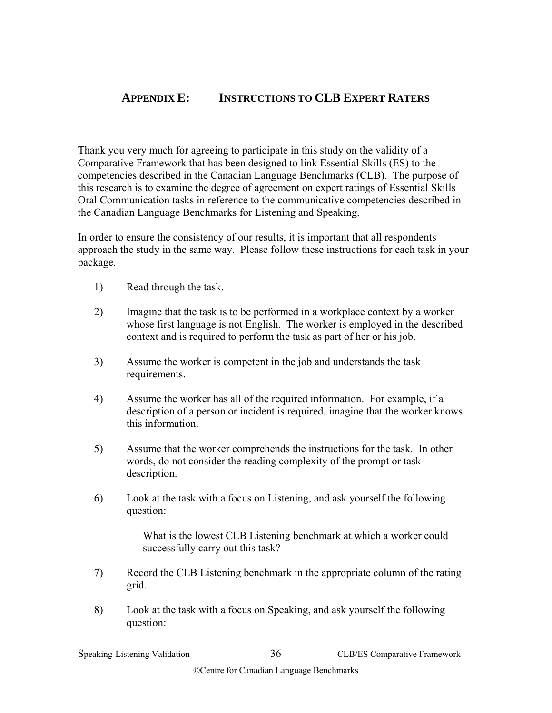### <span id="page-37-0"></span>**APPENDIX E: INSTRUCTIONS TO CLB EXPERT RATERS**

Thank you very much for agreeing to participate in this study on the validity of a Comparative Framework that has been designed to link Essential Skills (ES) to the competencies described in the Canadian Language Benchmarks (CLB). The purpose of this research is to examine the degree of agreement on expert ratings of Essential Skills Oral Communication tasks in reference to the communicative competencies described in the Canadian Language Benchmarks for Listening and Speaking.

In order to ensure the consistency of our results, it is important that all respondents approach the study in the same way. Please follow these instructions for each task in your package.

- 1) Read through the task.
- 2) Imagine that the task is to be performed in a workplace context by a worker whose first language is not English. The worker is employed in the described context and is required to perform the task as part of her or his job.
- 3) Assume the worker is competent in the job and understands the task requirements.
- 4) Assume the worker has all of the required information. For example, if a description of a person or incident is required, imagine that the worker knows this information.
- 5) Assume that the worker comprehends the instructions for the task. In other words, do not consider the reading complexity of the prompt or task description.
- 6) Look at the task with a focus on Listening, and ask yourself the following question:

What is the lowest CLB Listening benchmark at which a worker could successfully carry out this task?

- 7) Record the CLB Listening benchmark in the appropriate column of the rating grid.
- 8) Look at the task with a focus on Speaking, and ask yourself the following question: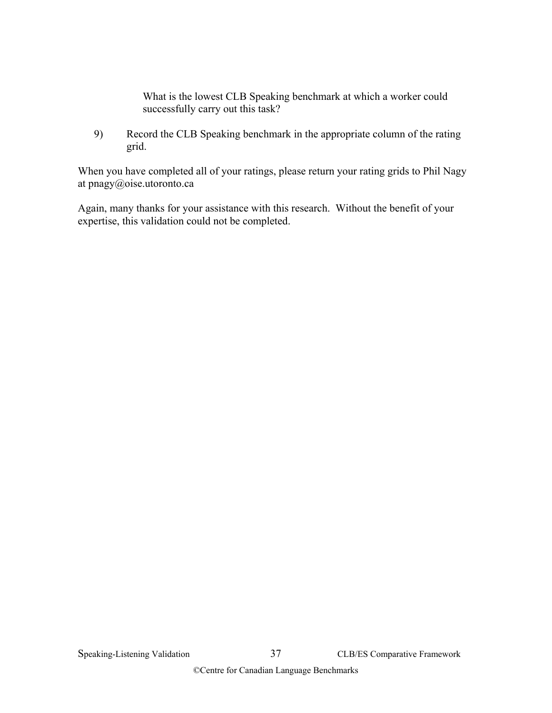What is the lowest CLB Speaking benchmark at which a worker could successfully carry out this task?

9) Record the CLB Speaking benchmark in the appropriate column of the rating grid.

When you have completed all of your ratings, please return your rating grids to Phil Nagy at pnagy@oise.utoronto.ca

Again, many thanks for your assistance with this research. Without the benefit of your expertise, this validation could not be completed.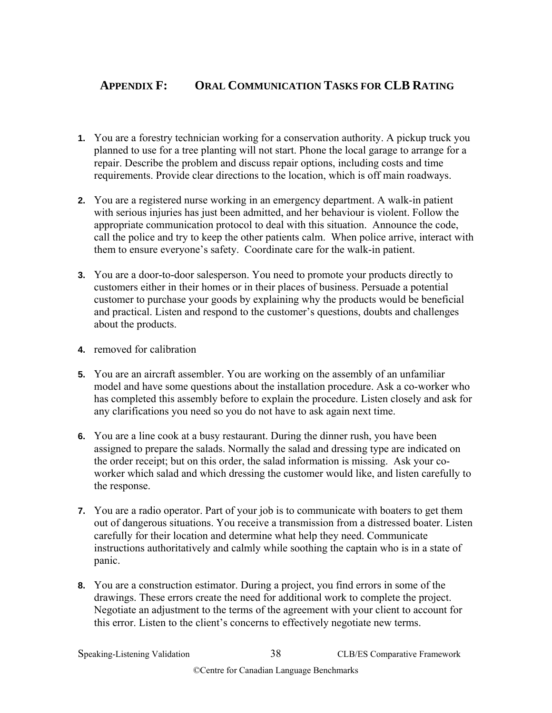## <span id="page-39-0"></span>**APPENDIX F: ORAL COMMUNICATION TASKS FOR CLB RATING**

- **1.** You are a forestry technician working for a conservation authority. A pickup truck you planned to use for a tree planting will not start. Phone the local garage to arrange for a repair. Describe the problem and discuss repair options, including costs and time requirements. Provide clear directions to the location, which is off main roadways.
- **2.** You are a registered nurse working in an emergency department. A walk-in patient with serious injuries has just been admitted, and her behaviour is violent. Follow the appropriate communication protocol to deal with this situation. Announce the code, call the police and try to keep the other patients calm. When police arrive, interact with them to ensure everyone's safety. Coordinate care for the walk-in patient.
- **3.** You are a door-to-door salesperson. You need to promote your products directly to customers either in their homes or in their places of business. Persuade a potential customer to purchase your goods by explaining why the products would be beneficial and practical. Listen and respond to the customer's questions, doubts and challenges about the products.
- **4.** removed for calibration
- **5.** You are an aircraft assembler. You are working on the assembly of an unfamiliar model and have some questions about the installation procedure. Ask a co-worker who has completed this assembly before to explain the procedure. Listen closely and ask for any clarifications you need so you do not have to ask again next time.
- **6.** You are a line cook at a busy restaurant. During the dinner rush, you have been assigned to prepare the salads. Normally the salad and dressing type are indicated on the order receipt; but on this order, the salad information is missing. Ask your coworker which salad and which dressing the customer would like, and listen carefully to the response.
- **7.** You are a radio operator. Part of your job is to communicate with boaters to get them out of dangerous situations. You receive a transmission from a distressed boater. Listen carefully for their location and determine what help they need. Communicate instructions authoritatively and calmly while soothing the captain who is in a state of panic.
- **8.** You are a construction estimator. During a project, you find errors in some of the drawings. These errors create the need for additional work to complete the project. Negotiate an adjustment to the terms of the agreement with your client to account for this error. Listen to the client's concerns to effectively negotiate new terms.

Speaking-Listening Validation 38 CLB/ES Comparative Framework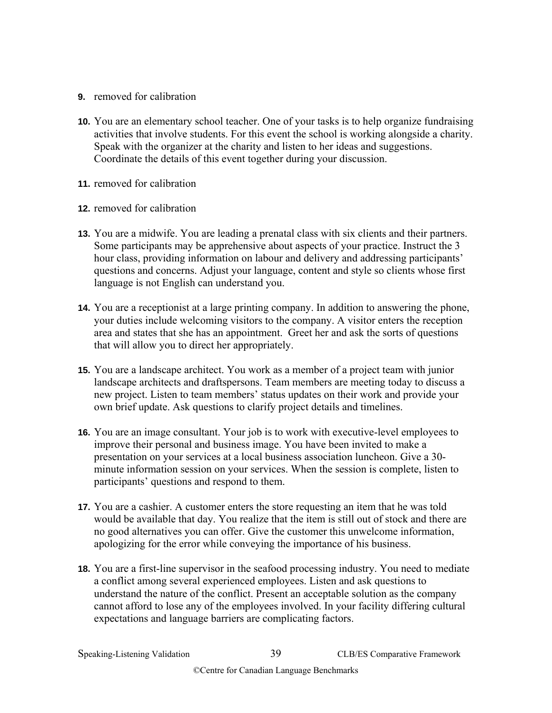- **9.** removed for calibration
- **10.** You are an elementary school teacher. One of your tasks is to help organize fundraising activities that involve students. For this event the school is working alongside a charity. Speak with the organizer at the charity and listen to her ideas and suggestions. Coordinate the details of this event together during your discussion.
- **11.** removed for calibration
- **12.** removed for calibration
- **13.** You are a midwife. You are leading a prenatal class with six clients and their partners. Some participants may be apprehensive about aspects of your practice. Instruct the 3 hour class, providing information on labour and delivery and addressing participants' questions and concerns. Adjust your language, content and style so clients whose first language is not English can understand you.
- **14.** You are a receptionist at a large printing company. In addition to answering the phone, your duties include welcoming visitors to the company. A visitor enters the reception area and states that she has an appointment. Greet her and ask the sorts of questions that will allow you to direct her appropriately.
- **15.** You are a landscape architect. You work as a member of a project team with junior landscape architects and draftspersons. Team members are meeting today to discuss a new project. Listen to team members' status updates on their work and provide your own brief update. Ask questions to clarify project details and timelines.
- **16.** You are an image consultant. Your job is to work with executive-level employees to improve their personal and business image. You have been invited to make a presentation on your services at a local business association luncheon. Give a 30 minute information session on your services. When the session is complete, listen to participants' questions and respond to them.
- **17.** You are a cashier. A customer enters the store requesting an item that he was told would be available that day. You realize that the item is still out of stock and there are no good alternatives you can offer. Give the customer this unwelcome information, apologizing for the error while conveying the importance of his business.
- **18.** You are a first-line supervisor in the seafood processing industry. You need to mediate a conflict among several experienced employees. Listen and ask questions to understand the nature of the conflict. Present an acceptable solution as the company cannot afford to lose any of the employees involved. In your facility differing cultural expectations and language barriers are complicating factors.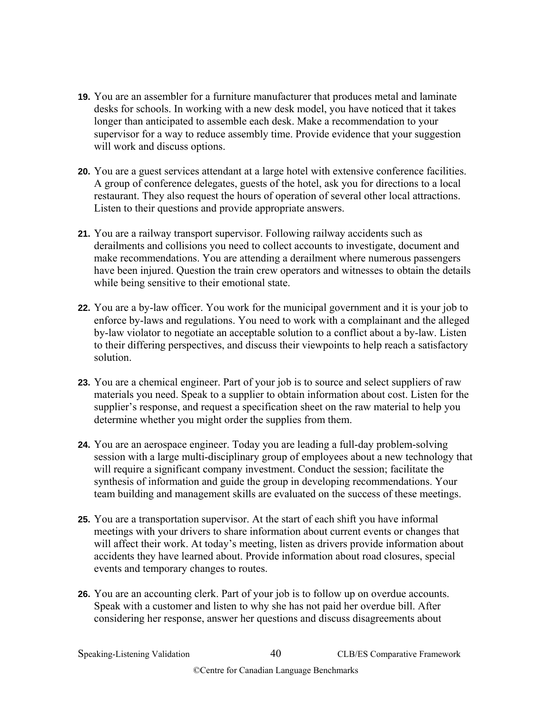- **19.** You are an assembler for a furniture manufacturer that produces metal and laminate desks for schools. In working with a new desk model, you have noticed that it takes longer than anticipated to assemble each desk. Make a recommendation to your supervisor for a way to reduce assembly time. Provide evidence that your suggestion will work and discuss options.
- **20.** You are a guest services attendant at a large hotel with extensive conference facilities. A group of conference delegates, guests of the hotel, ask you for directions to a local restaurant. They also request the hours of operation of several other local attractions. Listen to their questions and provide appropriate answers.
- **21.** You are a railway transport supervisor. Following railway accidents such as derailments and collisions you need to collect accounts to investigate, document and make recommendations. You are attending a derailment where numerous passengers have been injured. Question the train crew operators and witnesses to obtain the details while being sensitive to their emotional state.
- **22.** You are a by-law officer. You work for the municipal government and it is your job to enforce by-laws and regulations. You need to work with a complainant and the alleged by-law violator to negotiate an acceptable solution to a conflict about a by-law. Listen to their differing perspectives, and discuss their viewpoints to help reach a satisfactory solution.
- **23.** You are a chemical engineer. Part of your job is to source and select suppliers of raw materials you need. Speak to a supplier to obtain information about cost. Listen for the supplier's response, and request a specification sheet on the raw material to help you determine whether you might order the supplies from them.
- **24.** You are an aerospace engineer. Today you are leading a full-day problem-solving session with a large multi-disciplinary group of employees about a new technology that will require a significant company investment. Conduct the session; facilitate the synthesis of information and guide the group in developing recommendations. Your team building and management skills are evaluated on the success of these meetings.
- **25.** You are a transportation supervisor. At the start of each shift you have informal meetings with your drivers to share information about current events or changes that will affect their work. At today's meeting, listen as drivers provide information about accidents they have learned about. Provide information about road closures, special events and temporary changes to routes.
- **26.** You are an accounting clerk. Part of your job is to follow up on overdue accounts. Speak with a customer and listen to why she has not paid her overdue bill. After considering her response, answer her questions and discuss disagreements about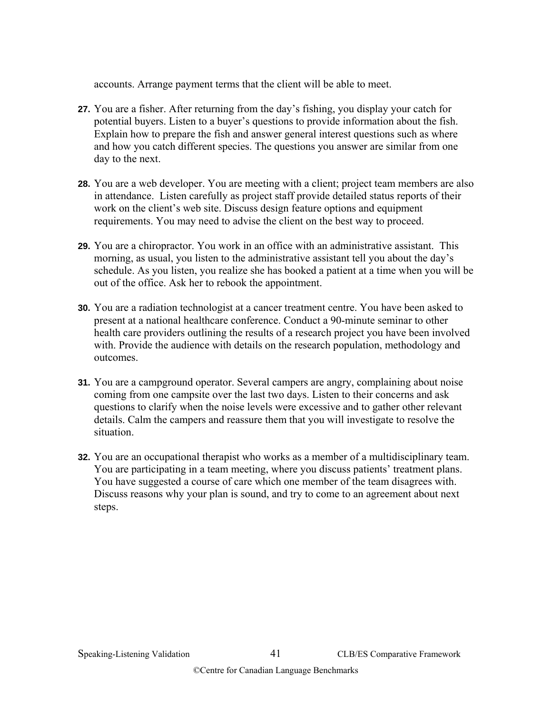accounts. Arrange payment terms that the client will be able to meet.

- **27.** You are a fisher. After returning from the day's fishing, you display your catch for potential buyers. Listen to a buyer's questions to provide information about the fish. Explain how to prepare the fish and answer general interest questions such as where and how you catch different species. The questions you answer are similar from one day to the next.
- **28.** You are a web developer. You are meeting with a client; project team members are also in attendance. Listen carefully as project staff provide detailed status reports of their work on the client's web site. Discuss design feature options and equipment requirements. You may need to advise the client on the best way to proceed.
- **29.** You are a chiropractor. You work in an office with an administrative assistant. This morning, as usual, you listen to the administrative assistant tell you about the day's schedule. As you listen, you realize she has booked a patient at a time when you will be out of the office. Ask her to rebook the appointment.
- **30.** You are a radiation technologist at a cancer treatment centre. You have been asked to present at a national healthcare conference. Conduct a 90-minute seminar to other health care providers outlining the results of a research project you have been involved with. Provide the audience with details on the research population, methodology and outcomes.
- **31.** You are a campground operator. Several campers are angry, complaining about noise coming from one campsite over the last two days. Listen to their concerns and ask questions to clarify when the noise levels were excessive and to gather other relevant details. Calm the campers and reassure them that you will investigate to resolve the situation.
- **32.** You are an occupational therapist who works as a member of a multidisciplinary team. You are participating in a team meeting, where you discuss patients' treatment plans. You have suggested a course of care which one member of the team disagrees with. Discuss reasons why your plan is sound, and try to come to an agreement about next steps.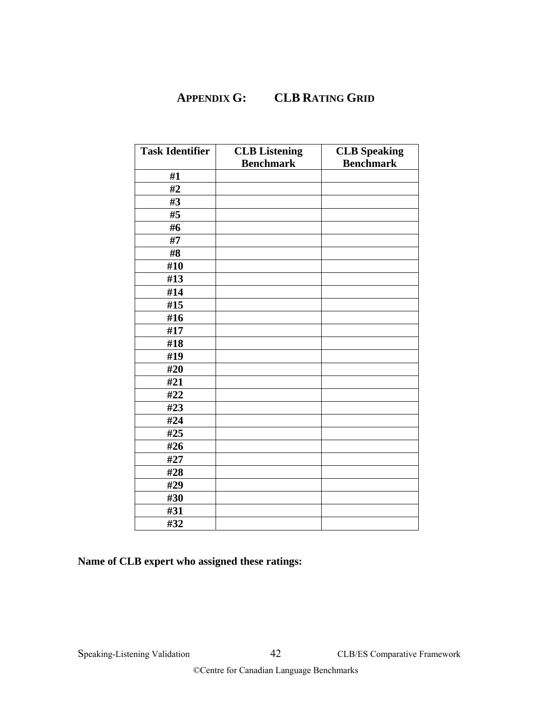### **APPENDIX G: CLB RATING GRID**

<span id="page-43-0"></span>

| <b>Task Identifier</b> | <b>CLB</b> Listening<br><b>Benchmark</b> | <b>CLB</b> Speaking<br><b>Benchmark</b> |  |  |  |  |  |
|------------------------|------------------------------------------|-----------------------------------------|--|--|--|--|--|
| #1                     |                                          |                                         |  |  |  |  |  |
| #2                     |                                          |                                         |  |  |  |  |  |
| #3                     |                                          |                                         |  |  |  |  |  |
| #5                     |                                          |                                         |  |  |  |  |  |
| #6                     |                                          |                                         |  |  |  |  |  |
| #7                     |                                          |                                         |  |  |  |  |  |
| #8                     |                                          |                                         |  |  |  |  |  |
| #10                    |                                          |                                         |  |  |  |  |  |
| #13                    |                                          |                                         |  |  |  |  |  |
| #14                    |                                          |                                         |  |  |  |  |  |
| #15                    |                                          |                                         |  |  |  |  |  |
| #16                    |                                          |                                         |  |  |  |  |  |
| #17                    |                                          |                                         |  |  |  |  |  |
| #18                    |                                          |                                         |  |  |  |  |  |
| #19                    |                                          |                                         |  |  |  |  |  |
| #20                    |                                          |                                         |  |  |  |  |  |
| #21                    |                                          |                                         |  |  |  |  |  |
| #22                    |                                          |                                         |  |  |  |  |  |
| #23                    |                                          |                                         |  |  |  |  |  |
| #24                    |                                          |                                         |  |  |  |  |  |
| #25                    |                                          |                                         |  |  |  |  |  |
| #26                    |                                          |                                         |  |  |  |  |  |
| #27                    |                                          |                                         |  |  |  |  |  |
| #28                    |                                          |                                         |  |  |  |  |  |
| #29                    |                                          |                                         |  |  |  |  |  |
| #30                    |                                          |                                         |  |  |  |  |  |
| #31                    |                                          |                                         |  |  |  |  |  |
| #32                    |                                          |                                         |  |  |  |  |  |

**Name of CLB expert who assigned these ratings:**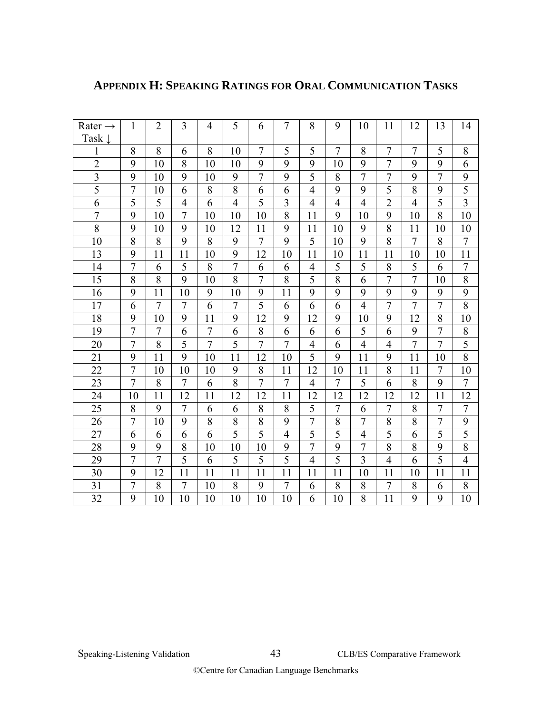| Rater $\rightarrow$     | $\mathbf{1}$   | $\overline{2}$ | $\overline{3}$ | $\overline{4}$ | 5              | 6              | $\overline{7}$ | 8              | 9              | 10             | 11             | 12             | 13             | 14             |
|-------------------------|----------------|----------------|----------------|----------------|----------------|----------------|----------------|----------------|----------------|----------------|----------------|----------------|----------------|----------------|
| Task Į                  |                |                |                |                |                |                |                |                |                |                |                |                |                |                |
| $\mathbf{1}$            | 8              | 8              | 6              | 8              | 10             | $\overline{7}$ | 5              | 5              | $\overline{7}$ | 8              | $\overline{7}$ | $\overline{7}$ | 5              | 8              |
| $\overline{2}$          | 9              | 10             | 8              | 10             | 10             | 9              | 9              | 9              | 10             | 9              | $\overline{7}$ | 9              | 9              | 6              |
| $\overline{\mathbf{3}}$ | 9              | 10             | 9              | 10             | 9              | $\overline{7}$ | 9              | 5              | 8              | $\overline{7}$ | $\overline{7}$ | 9              | $\overline{7}$ | 9              |
| $\overline{5}$          | $\overline{7}$ | 10             | 6              | 8              | 8              | 6              | 6              | $\overline{4}$ | 9              | 9              | 5              | 8              | 9              | 5              |
| 6                       | 5              | 5              | $\overline{4}$ | 6              | $\overline{4}$ | 5              | 3              | $\overline{4}$ | $\overline{4}$ | $\overline{4}$ | $\overline{2}$ | $\overline{4}$ | 5              | $\overline{3}$ |
| $\overline{7}$          | $\overline{9}$ | 10             | $\overline{7}$ | 10             | 10             | 10             | $\overline{8}$ | 11             | 9              | 10             | 9              | 10             | 8              | 10             |
| 8                       | 9              | 10             | 9              | 10             | 12             | 11             | 9              | 11             | 10             | 9              | 8              | 11             | 10             | 10             |
| 10                      | 8              | 8              | 9              | 8              | 9              | $\overline{7}$ | 9              | 5              | 10             | 9              | 8              | $\overline{7}$ | 8              | $\overline{7}$ |
| 13                      | 9              | 11             | 11             | 10             | 9              | 12             | 10             | 11             | 10             | 11             | 11             | 10             | 10             | 11             |
| 14                      | $\overline{7}$ | 6              | 5              | 8              | $\overline{7}$ | 6              | 6              | $\overline{4}$ | 5              | $\overline{5}$ | 8              | 5              | 6              | $\overline{7}$ |
| 15                      | 8              | 8              | 9              | 10             | 8              | $\overline{7}$ | 8              | 5              | 8              | 6              | $\overline{7}$ | $\overline{7}$ | 10             | $8\,$          |
| 16                      | 9              | 11             | 10             | 9              | 10             | 9              | 11             | 9              | 9              | 9              | 9              | 9              | 9              | 9              |
| 17                      | 6              | $\overline{7}$ | $\overline{7}$ | $\overline{6}$ | $\overline{7}$ | $\overline{5}$ | 6              | $\overline{6}$ | 6              | $\overline{4}$ | $\overline{7}$ | $\overline{7}$ | $\overline{7}$ | $\overline{8}$ |
| 18                      | 9              | 10             | 9              | 11             | 9              | 12             | 9              | 12             | 9              | 10             | 9              | 12             | 8              | 10             |
| 19                      | $\overline{7}$ | 7              | 6              | $\overline{7}$ | 6              | 8              | 6              | 6              | 6              | 5              | 6              | 9              | $\overline{7}$ | 8              |
| 20                      | $\overline{7}$ | 8              | 5              | $\overline{7}$ | 5              | 7              | $\overline{7}$ | $\overline{4}$ | 6              | $\overline{4}$ | $\overline{4}$ | $\overline{7}$ | $\overline{7}$ | 5              |
| 21                      | 9              | 11             | 9              | 10             | 11             | 12             | 10             | 5              | 9              | 11             | 9              | 11             | 10             | $\overline{8}$ |
| 22                      | $\overline{7}$ | 10             | 10             | 10             | 9              | 8              | 11             | 12             | 10             | 11             | 8              | 11             | $\overline{7}$ | 10             |
| 23                      | $\overline{7}$ | 8              | $\overline{7}$ | 6              | 8              | $\overline{7}$ | $\overline{7}$ | $\overline{4}$ | $\overline{7}$ | 5              | 6              | 8              | 9              | $\overline{7}$ |
| 24                      | 10             | 11             | 12             | 11             | 12             | 12             | 11             | 12             | 12             | 12             | 12             | 12             | 11             | 12             |
| 25                      | 8              | 9              | $\overline{7}$ | 6              | 6              | 8              | 8              | 5              | $\overline{7}$ | 6              | $\overline{7}$ | 8              | $\overline{7}$ | $\overline{7}$ |
| 26                      | $\overline{7}$ | 10             | 9              | 8              | 8              | 8              | 9              | $\overline{7}$ | 8              | $\overline{7}$ | 8              | 8              | $\tau$         | 9              |
| 27                      | 6              | 6              | 6              | 6              | $\overline{5}$ | 5              | $\overline{4}$ | 5              | 5              | $\overline{4}$ | 5              | 6              | 5              | $\overline{5}$ |
| 28                      | 9              | 9              | $8\,$          | 10             | 10             | 10             | 9              | $\overline{7}$ | 9              | $\overline{7}$ | 8              | 8              | 9              | 8              |
| 29                      | $\overline{7}$ | $\overline{7}$ | 5              | 6              | 5              | 5              | $\overline{5}$ | $\overline{4}$ | 5              | $\overline{3}$ | $\overline{4}$ | 6              | 5              | $\overline{4}$ |
| 30                      | 9              | 12             | 11             | 11             | 11             | 11             | 11             | 11             | 11             | 10             | 11             | 10             | 11             | 11             |
| 31                      | $\overline{7}$ | 8              | $\overline{7}$ | 10             | 8              | 9              | $\overline{7}$ | 6              | 8              | 8              | $\overline{7}$ | 8              | 6              | 8              |
| 32                      | 9              | 10             | 10             | 10             | 10             | 10             | 10             | 6              | 10             | 8              | 11             | 9              | 9              | 10             |

## <span id="page-44-0"></span>**APPENDIX H: SPEAKING RATINGS FOR ORAL COMMUNICATION TASKS**